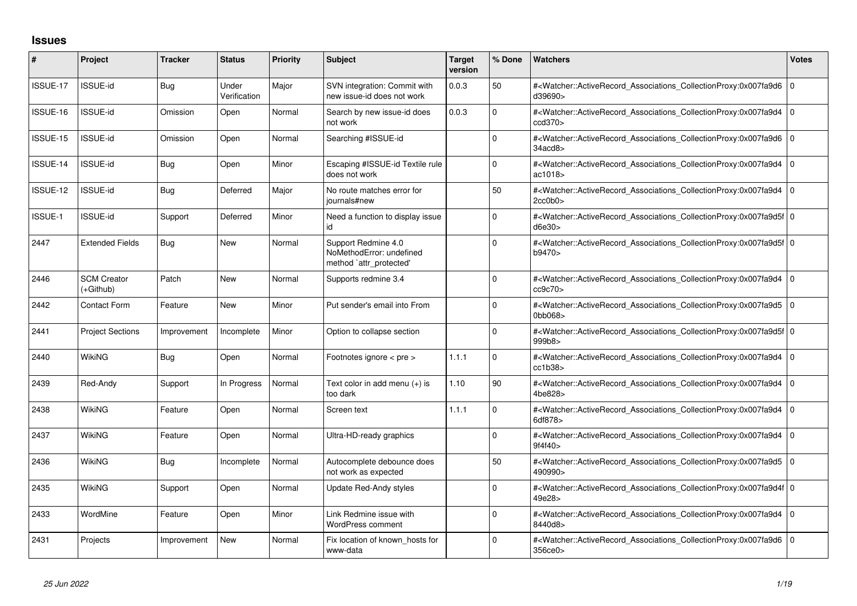## **Issues**

| #        | Project                           | <b>Tracker</b> | <b>Status</b>         | <b>Priority</b> | <b>Subject</b>                                                             | <b>Target</b><br>version | % Done       | <b>Watchers</b>                                                                                                                                          | <b>Votes</b>   |
|----------|-----------------------------------|----------------|-----------------------|-----------------|----------------------------------------------------------------------------|--------------------------|--------------|----------------------------------------------------------------------------------------------------------------------------------------------------------|----------------|
| ISSUE-17 | ISSUE-id                          | <b>Bug</b>     | Under<br>Verification | Major           | SVN integration: Commit with<br>new issue-id does not work                 | 0.0.3                    | 50           | # <watcher::activerecord_associations_collectionproxy:0x007fa9d6 0<br="">d39690&gt;</watcher::activerecord_associations_collectionproxy:0x007fa9d6>      |                |
| ISSUE-16 | <b>ISSUE-id</b>                   | Omission       | Open                  | Normal          | Search by new issue-id does<br>not work                                    | 0.0.3                    | <sup>0</sup> | # <watcher::activerecord associations="" collectionproxy:0x007fa9d4<br="">ccd370</watcher::activerecord>                                                 | $\overline{0}$ |
| ISSUE-15 | <b>ISSUE-id</b>                   | Omission       | Open                  | Normal          | Searching #ISSUE-id                                                        |                          | <sup>0</sup> | # <watcher::activerecord 0<br="" associations="" collectionproxy:0x007fa9d6=""  ="">34acd8</watcher::activerecord>                                       |                |
| ISSUE-14 | <b>ISSUE-id</b>                   | <b>Bug</b>     | Open                  | Minor           | Escaping #ISSUE-id Textile rule<br>does not work                           |                          | $\Omega$     | # <watcher::activerecord 0<br="" associations="" collectionproxy:0x007fa9d4=""  ="">ac1018&gt;</watcher::activerecord>                                   |                |
| ISSUE-12 | <b>ISSUE-id</b>                   | <b>Bug</b>     | Deferred              | Major           | No route matches error for<br>journals#new                                 |                          | 50           | # <watcher::activerecord associations="" collectionproxy:0x007fa9d4<br="">2cc0b0&gt;</watcher::activerecord>                                             | 10             |
| ISSUE-1  | <b>ISSUE-id</b>                   | Support        | Deferred              | Minor           | Need a function to display issue<br>id                                     |                          | 0            | # <watcher::activerecord 0<br="" associations="" collectionproxy:0x007fa9d5f=""  ="">d6e30&gt;</watcher::activerecord>                                   |                |
| 2447     | <b>Extended Fields</b>            | Bug            | <b>New</b>            | Normal          | Support Redmine 4.0<br>NoMethodError: undefined<br>method `attr_protected' |                          | $\Omega$     | # <watcher::activerecord 0<br="" associations="" collectionproxy:0x007fa9d5f=""  ="">b9470&gt;</watcher::activerecord>                                   |                |
| 2446     | <b>SCM Creator</b><br>$(+Github)$ | Patch          | <b>New</b>            | Normal          | Supports redmine 3.4                                                       |                          | 0            | # <watcher::activerecord 0<br="" associations="" collectionproxy:0x007fa9d4=""  ="">cc9c70</watcher::activerecord>                                       |                |
| 2442     | <b>Contact Form</b>               | Feature        | <b>New</b>            | Minor           | Put sender's email into From                                               |                          | $\Omega$     | # <watcher::activerecord_associations_collectionproxy:0x007fa9d5 0<br="">Obb068&gt;</watcher::activerecord_associations_collectionproxy:0x007fa9d5>      |                |
| 2441     | <b>Project Sections</b>           | Improvement    | Incomplete            | Minor           | Option to collapse section                                                 |                          | 0            | # <watcher::activerecord 0<br="" associations="" collectionproxy:0x007fa9d5f=""  ="">999b8&gt;</watcher::activerecord>                                   |                |
| 2440     | WikiNG                            | <b>Bug</b>     | Open                  | Normal          | Footnotes ignore < pre >                                                   | 1.1.1                    | $\Omega$     | # <watcher::activerecord_associations_collectionproxy:0x007fa9d4 0<br="">cc1b38</watcher::activerecord_associations_collectionproxy:0x007fa9d4>          |                |
| 2439     | Red-Andy                          | Support        | In Progress           | Normal          | Text color in add menu $(+)$ is<br>too dark                                | 1.10                     | 90           | # <watcher::activerecord 0<br="" associations="" collectionproxy:0x007fa9d4=""  ="">4be828&gt;</watcher::activerecord>                                   |                |
| 2438     | WikiNG                            | Feature        | Open                  | Normal          | Screen text                                                                | 1.1.1                    | <sup>0</sup> | # <watcher::activerecord_associations_collectionproxy:0x007fa9d4 0<br=""  ="">6df878&gt;</watcher::activerecord_associations_collectionproxy:0x007fa9d4> |                |
| 2437     | <b>WikiNG</b>                     | Feature        | Open                  | Normal          | Ultra-HD-ready graphics                                                    |                          | $\Omega$     | # <watcher::activerecord_associations_collectionproxy:0x007fa9d4 0<br="">9f4f40&gt;</watcher::activerecord_associations_collectionproxy:0x007fa9d4>      |                |
| 2436     | <b>WikiNG</b>                     | <b>Bug</b>     | Incomplete            | Normal          | Autocomplete debounce does<br>not work as expected                         |                          | 50           | # <watcher::activerecord 0<br="" associations="" collectionproxy:0x007fa9d5=""  ="">490990&gt;</watcher::activerecord>                                   |                |
| 2435     | <b>WikiNG</b>                     | Support        | Open                  | Normal          | Update Red-Andy styles                                                     |                          | 0            | # <watcher::activerecord_associations_collectionproxy:0x007fa9d4f 0<br="">49e28&gt;</watcher::activerecord_associations_collectionproxy:0x007fa9d4f>     |                |
| 2433     | WordMine                          | Feature        | Open                  | Minor           | Link Redmine issue with<br><b>WordPress comment</b>                        |                          | 0            | # <watcher::activerecord 0<br="" associations="" collectionproxy:0x007fa9d4=""  ="">8440d8&gt;</watcher::activerecord>                                   |                |
| 2431     | Projects                          | Improvement    | <b>New</b>            | Normal          | Fix location of known hosts for<br>www-data                                |                          | 0            | # <watcher::activerecord_associations_collectionproxy:0x007fa9d6 0<br="">356ce0&gt;</watcher::activerecord_associations_collectionproxy:0x007fa9d6>      |                |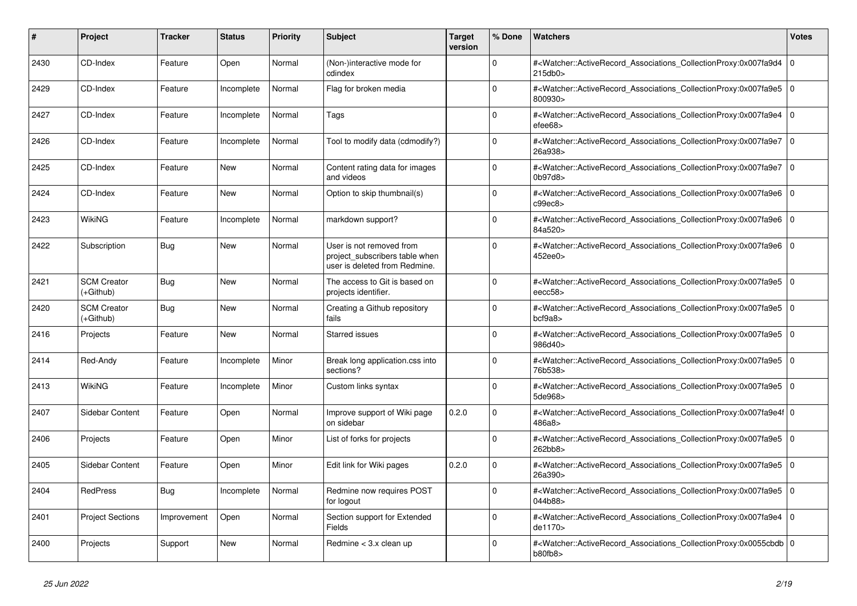| #    | Project                         | <b>Tracker</b> | <b>Status</b> | <b>Priority</b> | <b>Subject</b>                                                                              | <b>Target</b><br>version | % Done      | <b>Watchers</b>                                                                                                                                                         | Votes          |
|------|---------------------------------|----------------|---------------|-----------------|---------------------------------------------------------------------------------------------|--------------------------|-------------|-------------------------------------------------------------------------------------------------------------------------------------------------------------------------|----------------|
| 2430 | CD-Index                        | Feature        | Open          | Normal          | (Non-)interactive mode for<br>cdindex                                                       |                          | $\Omega$    | # <watcher::activerecord_associations_collectionproxy:0x007fa9d4<br>215db0&gt;</watcher::activerecord_associations_collectionproxy:0x007fa9d4<br>                       | $\overline{0}$ |
| 2429 | CD-Index                        | Feature        | Incomplete    | Normal          | Flag for broken media                                                                       |                          | $\Omega$    | # <watcher::activerecord_associations_collectionproxy:0x007fa9e5<br>800930&gt;</watcher::activerecord_associations_collectionproxy:0x007fa9e5<br>                       | l O            |
| 2427 | CD-Index                        | Feature        | Incomplete    | Normal          | Tags                                                                                        |                          | $\Omega$    | # <watcher::activerecord_associations_collectionproxy:0x007fa9e4<br><math>e</math>fee<math>68</math></watcher::activerecord_associations_collectionproxy:0x007fa9e4<br> | l o            |
| 2426 | CD-Index                        | Feature        | Incomplete    | Normal          | Tool to modify data (cdmodify?)                                                             |                          | $\Omega$    | # <watcher::activerecord_associations_collectionproxy:0x007fa9e7<br>26a938&gt;</watcher::activerecord_associations_collectionproxy:0x007fa9e7<br>                       | $\overline{0}$ |
| 2425 | CD-Index                        | Feature        | <b>New</b>    | Normal          | Content rating data for images<br>and videos                                                |                          | $\mathbf 0$ | # <watcher::activerecord_associations_collectionproxy:0x007fa9e7<br>0b97d8&gt;</watcher::activerecord_associations_collectionproxy:0x007fa9e7<br>                       | l 0            |
| 2424 | CD-Index                        | Feature        | <b>New</b>    | Normal          | Option to skip thumbnail(s)                                                                 |                          | $\Omega$    | # <watcher::activerecord associations="" collectionproxy:0x007fa9e6<br="">c99ec8&gt;</watcher::activerecord>                                                            | l O            |
| 2423 | WikiNG                          | Feature        | Incomplete    | Normal          | markdown support?                                                                           |                          | $\Omega$    | # <watcher::activerecord associations="" collectionproxy:0x007fa9e6<br="">84a520&gt;</watcher::activerecord>                                                            | l 0            |
| 2422 | Subscription                    | <b>Bug</b>     | <b>New</b>    | Normal          | User is not removed from<br>project_subscribers table when<br>user is deleted from Redmine. |                          | $\Omega$    | # <watcher::activerecord_associations_collectionproxy:0x007fa9e6<br>452ee0&gt;</watcher::activerecord_associations_collectionproxy:0x007fa9e6<br>                       | 10             |
| 2421 | <b>SCM Creator</b><br>(+Github) | <b>Bug</b>     | New           | Normal          | The access to Git is based on<br>projects identifier.                                       |                          | $\Omega$    | # <watcher::activerecord_associations_collectionproxy:0x007fa9e5<br>eecc58</watcher::activerecord_associations_collectionproxy:0x007fa9e5<br>                           | 10             |
| 2420 | <b>SCM Creator</b><br>(+Github) | <b>Bug</b>     | <b>New</b>    | Normal          | Creating a Github repository<br>fails                                                       |                          | $\Omega$    | # <watcher::activerecord_associations_collectionproxy:0x007fa9e5<br>bcf9a8</watcher::activerecord_associations_collectionproxy:0x007fa9e5<br>                           | ۱o             |
| 2416 | Projects                        | Feature        | <b>New</b>    | Normal          | <b>Starred issues</b>                                                                       |                          | $\Omega$    | # <watcher::activerecord associations="" collectionproxy:0x007fa9e5<br="">986d40&gt;</watcher::activerecord>                                                            | l O            |
| 2414 | Red-Andy                        | Feature        | Incomplete    | Minor           | Break long application.css into<br>sections?                                                |                          | $\Omega$    | # <watcher::activerecord associations="" collectionproxy:0x007fa9e5<br="">76b538&gt;</watcher::activerecord>                                                            | l O            |
| 2413 | WikiNG                          | Feature        | Incomplete    | Minor           | Custom links syntax                                                                         |                          | 0           | # <watcher::activerecord_associations_collectionproxy:0x007fa9e5<br>5de968&gt;</watcher::activerecord_associations_collectionproxy:0x007fa9e5<br>                       | 0              |
| 2407 | <b>Sidebar Content</b>          | Feature        | Open          | Normal          | Improve support of Wiki page<br>on sidebar                                                  | 0.2.0                    | $\Omega$    | # <watcher::activerecord 0<br="" associations="" collectionproxy:0x007fa9e4f=""  ="">486a8&gt;</watcher::activerecord>                                                  |                |
| 2406 | Projects                        | Feature        | Open          | Minor           | List of forks for projects                                                                  |                          | $\Omega$    | # <watcher::activerecord associations="" collectionproxy:0x007fa9e5<br="">262bb8&gt;</watcher::activerecord>                                                            | l O            |
| 2405 | Sidebar Content                 | Feature        | Open          | Minor           | Edit link for Wiki pages                                                                    | 0.2.0                    | $\mathbf 0$ | # <watcher::activerecord_associations_collectionproxy:0x007fa9e5<br>26a390&gt;</watcher::activerecord_associations_collectionproxy:0x007fa9e5<br>                       | l 0            |
| 2404 | RedPress                        | <b>Bug</b>     | Incomplete    | Normal          | Redmine now requires POST<br>for logout                                                     |                          | $\Omega$    | # <watcher::activerecord_associations_collectionproxy:0x007fa9e5<br>044b88&gt;</watcher::activerecord_associations_collectionproxy:0x007fa9e5<br>                       | l O            |
| 2401 | <b>Project Sections</b>         | Improvement    | Open          | Normal          | Section support for Extended<br>Fields                                                      |                          | $\Omega$    | # <watcher::activerecord associations="" collectionproxy:0x007fa9e4<br="">de1170&gt;</watcher::activerecord>                                                            | 0 I            |
| 2400 | Projects                        | Support        | <b>New</b>    | Normal          | Redmine < 3.x clean up                                                                      |                          | $\Omega$    | # <watcher::activerecord_associations_collectionproxy:0x0055cbdb 0<br=""  ="">b80fb8&gt;</watcher::activerecord_associations_collectionproxy:0x0055cbdb>                |                |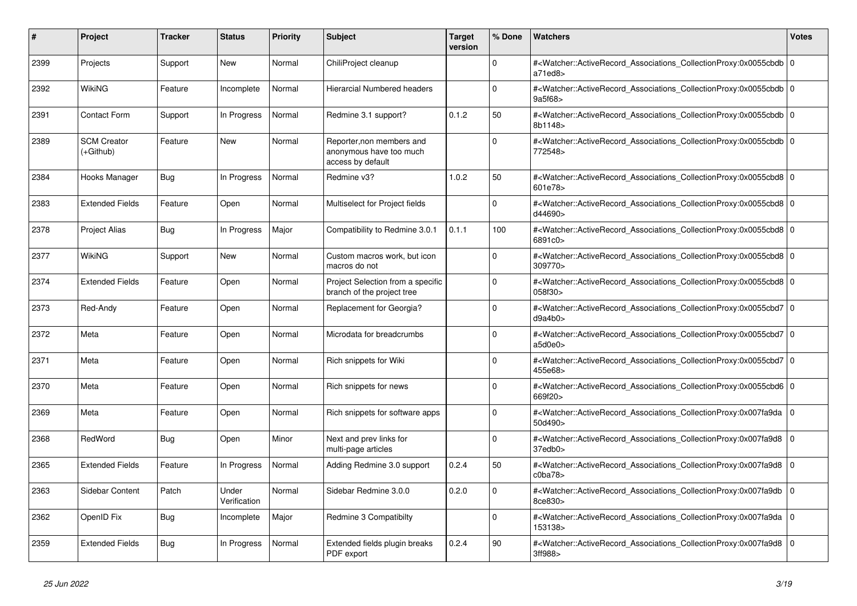| #    | <b>Project</b>                  | <b>Tracker</b> | <b>Status</b>         | <b>Priority</b> | <b>Subject</b>                                                            | <b>Target</b><br>version | % Done      | <b>Watchers</b>                                                                                                                                          | Votes |
|------|---------------------------------|----------------|-----------------------|-----------------|---------------------------------------------------------------------------|--------------------------|-------------|----------------------------------------------------------------------------------------------------------------------------------------------------------|-------|
| 2399 | Projects                        | Support        | New                   | Normal          | ChiliProject cleanup                                                      |                          | $\Omega$    | # <watcher::activerecord_associations_collectionproxy:0x0055cbdb 0<br=""  ="">a71ed8</watcher::activerecord_associations_collectionproxy:0x0055cbdb>     |       |
| 2392 | <b>WikiNG</b>                   | Feature        | Incomplete            | Normal          | Hierarcial Numbered headers                                               |                          | $\Omega$    | # <watcher::activerecord_associations_collectionproxy:0x0055cbdb 0<br=""  ="">9a5f68&gt;</watcher::activerecord_associations_collectionproxy:0x0055cbdb> |       |
| 2391 | <b>Contact Form</b>             | Support        | In Progress           | Normal          | Redmine 3.1 support?                                                      | 0.1.2                    | 50          | # <watcher::activerecord 0<br="" associations="" collectionproxy:0x0055cbdb=""  ="">8b1148&gt;</watcher::activerecord>                                   |       |
| 2389 | <b>SCM Creator</b><br>(+Github) | Feature        | <b>New</b>            | Normal          | Reporter, non members and<br>anonymous have too much<br>access by default |                          | $\Omega$    | # <watcher::activerecord_associations_collectionproxy:0x0055cbdb 0<br="">772548&gt;</watcher::activerecord_associations_collectionproxy:0x0055cbdb>      |       |
| 2384 | Hooks Manager                   | Bug            | In Progress           | Normal          | Redmine v3?                                                               | 1.0.2                    | 50          | # <watcher::activerecord 0<br="" associations="" collectionproxy:0x0055cbd8=""  ="">601e78&gt;</watcher::activerecord>                                   |       |
| 2383 | <b>Extended Fields</b>          | Feature        | Open                  | Normal          | Multiselect for Project fields                                            |                          | $\mathbf 0$ | # <watcher::activerecord_associations_collectionproxy:0x0055cbd8 0<br=""  ="">d44690&gt;</watcher::activerecord_associations_collectionproxy:0x0055cbd8> |       |
| 2378 | <b>Project Alias</b>            | Bug            | In Progress           | Major           | Compatibility to Redmine 3.0.1                                            | 0.1.1                    | 100         | # <watcher::activerecord_associations_collectionproxy:0x0055cbd8 0<br=""  ="">6891c0&gt;</watcher::activerecord_associations_collectionproxy:0x0055cbd8> |       |
| 2377 | WikiNG                          | Support        | <b>New</b>            | Normal          | Custom macros work, but icon<br>macros do not                             |                          | $\Omega$    | # <watcher::activerecord_associations_collectionproxy:0x0055cbd8 0<br=""  ="">309770&gt;</watcher::activerecord_associations_collectionproxy:0x0055cbd8> |       |
| 2374 | <b>Extended Fields</b>          | Feature        | Open                  | Normal          | Project Selection from a specific<br>branch of the project tree           |                          | $\Omega$    | # <watcher::activerecord 0<br="" associations="" collectionproxy:0x0055cbd8=""  ="">058f30&gt;</watcher::activerecord>                                   |       |
| 2373 | Red-Andy                        | Feature        | Open                  | Normal          | Replacement for Georgia?                                                  |                          | $\Omega$    | # <watcher::activerecord_associations_collectionproxy:0x0055cbd7 0<br="">d9a4b0&gt;</watcher::activerecord_associations_collectionproxy:0x0055cbd7>      |       |
| 2372 | Meta                            | Feature        | Open                  | Normal          | Microdata for breadcrumbs                                                 |                          | $\Omega$    | # <watcher::activerecord 0<br="" associations="" collectionproxy:0x0055cbd7=""  ="">a5d0e0&gt;</watcher::activerecord>                                   |       |
| 2371 | Meta                            | Feature        | Open                  | Normal          | Rich snippets for Wiki                                                    |                          | $\mathbf 0$ | # <watcher::activerecord 0<br="" associations="" collectionproxy:0x0055cbd7="">455e68&gt;</watcher::activerecord>                                        |       |
| 2370 | Meta                            | Feature        | Open                  | Normal          | Rich snippets for news                                                    |                          | $\Omega$    | # <watcher::activerecord_associations_collectionproxy:0x0055cbd6 0<br=""  ="">669f20&gt;</watcher::activerecord_associations_collectionproxy:0x0055cbd6> |       |
| 2369 | Meta                            | Feature        | Open                  | Normal          | Rich snippets for software apps                                           |                          | $\Omega$    | # <watcher::activerecord 0<br="" associations="" collectionproxy:0x007fa9da=""  ="">50d490&gt;</watcher::activerecord>                                   |       |
| 2368 | RedWord                         | <b>Bug</b>     | Open                  | Minor           | Next and prev links for<br>multi-page articles                            |                          | $\mathbf 0$ | # <watcher::activerecord associations="" collectionproxy:0x007fa9d8<br="">37edb0&gt;</watcher::activerecord>                                             | 0     |
| 2365 | <b>Extended Fields</b>          | Feature        | In Progress           | Normal          | Adding Redmine 3.0 support                                                | 0.2.4                    | 50          | # <watcher::activerecord_associations_collectionproxy:0x007fa9d8<br>c0ba78</watcher::activerecord_associations_collectionproxy:0x007fa9d8<br>            | 0 I   |
| 2363 | <b>Sidebar Content</b>          | Patch          | Under<br>Verification | Normal          | Sidebar Redmine 3.0.0                                                     | 0.2.0                    | $\Omega$    | # <watcher::activerecord associations="" collectionproxy:0x007fa9db<br="">8ce830&gt;</watcher::activerecord>                                             | ۱o    |
| 2362 | OpenID Fix                      | <b>Bug</b>     | Incomplete            | Major           | Redmine 3 Compatibilty                                                    |                          | $\mathbf 0$ | # <watcher::activerecord_associations_collectionproxy:0x007fa9da<br>153138&gt;</watcher::activerecord_associations_collectionproxy:0x007fa9da<br>        | 0     |
| 2359 | <b>Extended Fields</b>          | <b>Bug</b>     | In Progress           | Normal          | Extended fields plugin breaks<br>PDF export                               | 0.2.4                    | 90          | # <watcher::activerecord_associations_collectionproxy:0x007fa9d8<br>3ff988&gt;</watcher::activerecord_associations_collectionproxy:0x007fa9d8<br>        | 0 I   |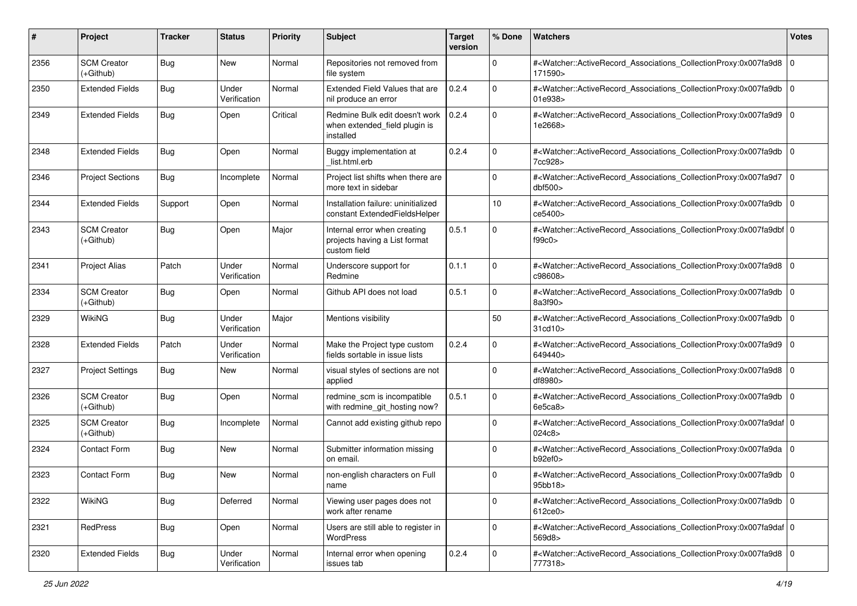| #    | Project                           | <b>Tracker</b> | <b>Status</b>         | <b>Priority</b> | <b>Subject</b>                                                                | <b>Target</b><br>version | % Done       | Watchers                                                                                                                                                  | <b>Votes</b> |
|------|-----------------------------------|----------------|-----------------------|-----------------|-------------------------------------------------------------------------------|--------------------------|--------------|-----------------------------------------------------------------------------------------------------------------------------------------------------------|--------------|
| 2356 | <b>SCM Creator</b><br>$(+Github)$ | Bug            | New                   | Normal          | Repositories not removed from<br>file system                                  |                          | 0            | # <watcher::activerecord_associations_collectionproxy:0x007fa9d8 0<br=""  ="">171590&gt;</watcher::activerecord_associations_collectionproxy:0x007fa9d8>  |              |
| 2350 | <b>Extended Fields</b>            | Bug            | Under<br>Verification | Normal          | Extended Field Values that are<br>nil produce an error                        | 0.2.4                    | $\Omega$     | # <watcher::activerecord_associations_collectionproxy:0x007fa9db<br>01e938&gt;</watcher::activerecord_associations_collectionproxy:0x007fa9db<br>         | l O          |
| 2349 | <b>Extended Fields</b>            | Bug            | Open                  | Critical        | Redmine Bulk edit doesn't work<br>when extended_field plugin is<br>installed  | 0.2.4                    | $\mathbf 0$  | # <watcher::activerecord_associations_collectionproxy:0x007fa9d9 0<br=""  ="">1e2668&gt;</watcher::activerecord_associations_collectionproxy:0x007fa9d9>  |              |
| 2348 | <b>Extended Fields</b>            | Bug            | Open                  | Normal          | Buggy implementation at<br>list.html.erb                                      | 0.2.4                    | $\Omega$     | # <watcher::activerecord associations="" collectionproxy:0x007fa9db<br="">7cc928&gt;</watcher::activerecord>                                              | l O          |
| 2346 | <b>Project Sections</b>           | Bug            | Incomplete            | Normal          | Project list shifts when there are<br>more text in sidebar                    |                          | $\mathbf 0$  | # <watcher::activerecord_associations_collectionproxy:0x007fa9d7<br>dbf500&gt;</watcher::activerecord_associations_collectionproxy:0x007fa9d7<br>         | $\mathbf 0$  |
| 2344 | <b>Extended Fields</b>            | Support        | Open                  | Normal          | Installation failure: uninitialized<br>constant ExtendedFieldsHelper          |                          | 10           | # <watcher::activerecord_associations_collectionproxy:0x007fa9db 0<br=""  ="">ce5400&gt;</watcher::activerecord_associations_collectionproxy:0x007fa9db>  |              |
| 2343 | <b>SCM Creator</b><br>(+Github)   | Bug            | Open                  | Major           | Internal error when creating<br>projects having a List format<br>custom field | 0.5.1                    | $\Omega$     | # <watcher::activerecord_associations_collectionproxy:0x007fa9dbf 0<br=""  ="">f99c0&gt;</watcher::activerecord_associations_collectionproxy:0x007fa9dbf> |              |
| 2341 | <b>Project Alias</b>              | Patch          | Under<br>Verification | Normal          | Underscore support for<br>Redmine                                             | 0.1.1                    | $\mathbf 0$  | # <watcher::activerecord_associations_collectionproxy:0x007fa9d8 0<br=""  ="">c98608&gt;</watcher::activerecord_associations_collectionproxy:0x007fa9d8>  |              |
| 2334 | <b>SCM Creator</b><br>(+Github)   | Bug            | Open                  | Normal          | Github API does not load                                                      | 0.5.1                    | $\Omega$     | # <watcher::activerecord_associations_collectionproxy:0x007fa9db<br>8a3f90&gt;</watcher::activerecord_associations_collectionproxy:0x007fa9db<br>         | l o          |
| 2329 | <b>WikiNG</b>                     | Bug            | Under<br>Verification | Major           | Mentions visibility                                                           |                          | 50           | # <watcher::activerecord_associations_collectionproxy:0x007fa9db<br>31cd10</watcher::activerecord_associations_collectionproxy:0x007fa9db<br>             | $\mathbf 0$  |
| 2328 | <b>Extended Fields</b>            | Patch          | Under<br>Verification | Normal          | Make the Project type custom<br>fields sortable in issue lists                | 0.2.4                    | $\mathbf 0$  | # <watcher::activerecord_associations_collectionproxy:0x007fa9d9 0<br="">649440&gt;</watcher::activerecord_associations_collectionproxy:0x007fa9d9>       |              |
| 2327 | <b>Project Settings</b>           | Bug            | New                   | Normal          | visual styles of sections are not<br>applied                                  |                          | $\mathbf 0$  | # <watcher::activerecord_associations_collectionproxy:0x007fa9d8 0<br="">df8980&gt;</watcher::activerecord_associations_collectionproxy:0x007fa9d8>       |              |
| 2326 | <b>SCM Creator</b><br>(+Github)   | Bug            | Open                  | Normal          | redmine_scm is incompatible<br>with redmine_git_hosting now?                  | 0.5.1                    | 0            | # <watcher::activerecord_associations_collectionproxy:0x007fa9db<br>6e5ca8</watcher::activerecord_associations_collectionproxy:0x007fa9db<br>             | ۱٥           |
| 2325 | <b>SCM Creator</b><br>$(+Github)$ | Bug            | Incomplete            | Normal          | Cannot add existing github repo                                               |                          | $\mathbf 0$  | # <watcher::activerecord_associations_collectionproxy:0x007fa9daf 0<br=""  ="">024c8</watcher::activerecord_associations_collectionproxy:0x007fa9daf>     |              |
| 2324 | Contact Form                      | Bug            | New                   | Normal          | Submitter information missing<br>on email.                                    |                          | $\Omega$     | # <watcher::activerecord_associations_collectionproxy:0x007fa9da 0<br="">b92ef0&gt;</watcher::activerecord_associations_collectionproxy:0x007fa9da>       |              |
| 2323 | <b>Contact Form</b>               | Bug            | New                   | Normal          | non-english characters on Full<br>name                                        |                          | $\Omega$     | # <watcher::activerecord_associations_collectionproxy:0x007fa9db 0<br=""  ="">95bb18&gt;</watcher::activerecord_associations_collectionproxy:0x007fa9db>  |              |
| 2322 | <b>WikiNG</b>                     | Bug            | Deferred              | Normal          | Viewing user pages does not<br>work after rename                              |                          | $\mathbf{0}$ | # <watcher::activerecord 0<br="" associations="" collectionproxy:0x007fa9db="">612ce0&gt;</watcher::activerecord>                                         |              |
| 2321 | RedPress                          | <b>Bug</b>     | Open                  | Normal          | Users are still able to register in<br>WordPress                              |                          | $\mathbf 0$  | # <watcher::activerecord_associations_collectionproxy:0x007fa9daf 0<br="">569d8&gt;</watcher::activerecord_associations_collectionproxy:0x007fa9daf>      |              |
| 2320 | <b>Extended Fields</b>            | Bug            | Under<br>Verification | Normal          | Internal error when opening<br>issues tab                                     | 0.2.4                    | 0            | # <watcher::activerecord 0<br="" associations="" collectionproxy:0x007fa9d8="">777318&gt;</watcher::activerecord>                                         |              |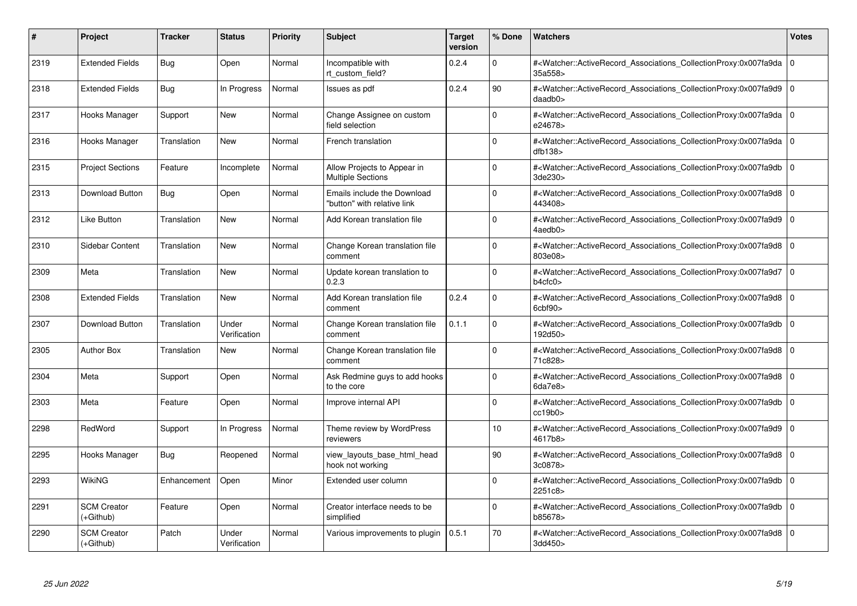| #    | Project                           | <b>Tracker</b> | <b>Status</b>         | <b>Priority</b> | <b>Subject</b>                                             | <b>Target</b><br>version | % Done      | <b>Watchers</b>                                                                                                                                          | <b>Votes</b> |
|------|-----------------------------------|----------------|-----------------------|-----------------|------------------------------------------------------------|--------------------------|-------------|----------------------------------------------------------------------------------------------------------------------------------------------------------|--------------|
| 2319 | <b>Extended Fields</b>            | Bug            | Open                  | Normal          | Incompatible with<br>rt custom field?                      | 0.2.4                    | $\Omega$    | # <watcher::activerecord associations="" collectionproxy:0x007fa9da<br="">35a558&gt;</watcher::activerecord>                                             | $\Omega$     |
| 2318 | <b>Extended Fields</b>            | Bug            | In Progress           | Normal          | Issues as pdf                                              | 0.2.4                    | 90          | # <watcher::activerecord 0<br="" associations="" collectionproxy:0x007fa9d9=""  ="">daadb0&gt;</watcher::activerecord>                                   |              |
| 2317 | Hooks Manager                     | Support        | <b>New</b>            | Normal          | Change Assignee on custom<br>field selection               |                          | $\Omega$    | # <watcher::activerecord_associations_collectionproxy:0x007fa9da<br>e24678&gt;</watcher::activerecord_associations_collectionproxy:0x007fa9da<br>        | 0            |
| 2316 | Hooks Manager                     | Translation    | New                   | Normal          | French translation                                         |                          | $\Omega$    | # <watcher::activerecord 0<br="" associations="" collectionproxy:0x007fa9da=""  ="">dfb138</watcher::activerecord>                                       |              |
| 2315 | <b>Project Sections</b>           | Feature        | Incomplete            | Normal          | Allow Projects to Appear in<br><b>Multiple Sections</b>    |                          | $\Omega$    | # <watcher::activerecord_associations_collectionproxy:0x007fa9db<br>3de230&gt;</watcher::activerecord_associations_collectionproxy:0x007fa9db<br>        | $\mathbf 0$  |
| 2313 | Download Button                   | Bug            | Open                  | Normal          | Emails include the Download<br>"button" with relative link |                          | $\Omega$    | # <watcher::activerecord_associations_collectionproxy:0x007fa9d8 0<br="">443408&gt;</watcher::activerecord_associations_collectionproxy:0x007fa9d8>      |              |
| 2312 | Like Button                       | Translation    | New                   | Normal          | Add Korean translation file                                |                          | $\Omega$    | # <watcher::activerecord associations="" collectionproxy:0x007fa9d9<br="">4aedb0&gt;</watcher::activerecord>                                             | $\mathbf 0$  |
| 2310 | Sidebar Content                   | Translation    | New                   | Normal          | Change Korean translation file<br>comment                  |                          | $\Omega$    | # <watcher::activerecord_associations_collectionproxy:0x007fa9d8 0<br=""  ="">803e08&gt;</watcher::activerecord_associations_collectionproxy:0x007fa9d8> |              |
| 2309 | Meta                              | Translation    | <b>New</b>            | Normal          | Update korean translation to<br>0.2.3                      |                          | $\Omega$    | # <watcher::activerecord_associations_collectionproxy:0x007fa9d7<br>b4cfc0</watcher::activerecord_associations_collectionproxy:0x007fa9d7<br>            | l o          |
| 2308 | <b>Extended Fields</b>            | Translation    | <b>New</b>            | Normal          | Add Korean translation file<br>comment                     | 0.2.4                    | $\Omega$    | # <watcher::activerecord 0<br="" associations="" collectionproxy:0x007fa9d8=""  =""><math>6</math>cbf<math>90</math></watcher::activerecord>             |              |
| 2307 | Download Button                   | Translation    | Under<br>Verification | Normal          | Change Korean translation file<br>comment                  | 0.1.1                    | $\Omega$    | # <watcher::activerecord_associations_collectionproxy:0x007fa9db<br>192d50&gt;</watcher::activerecord_associations_collectionproxy:0x007fa9db<br>        | ١o           |
| 2305 | <b>Author Box</b>                 | Translation    | <b>New</b>            | Normal          | Change Korean translation file<br>comment                  |                          | $\Omega$    | # <watcher::activerecord_associations_collectionproxy:0x007fa9d8 0<br=""  ="">71c828&gt;</watcher::activerecord_associations_collectionproxy:0x007fa9d8> |              |
| 2304 | Meta                              | Support        | Open                  | Normal          | Ask Redmine guys to add hooks<br>to the core               |                          | $\mathbf 0$ | # <watcher::activerecord 0<br="" associations="" collectionproxy:0x007fa9d8=""  ="">6da7e8&gt;</watcher::activerecord>                                   |              |
| 2303 | Meta                              | Feature        | Open                  | Normal          | Improve internal API                                       |                          | $\Omega$    | # <watcher::activerecord_associations_collectionproxy:0x007fa9db 0<br="">cc19b0</watcher::activerecord_associations_collectionproxy:0x007fa9db>          |              |
| 2298 | RedWord                           | Support        | In Progress           | Normal          | Theme review by WordPress<br>reviewers                     |                          | 10          | # <watcher::activerecord 0<br="" associations="" collectionproxy:0x007fa9d9=""  ="">4617b8&gt;</watcher::activerecord>                                   |              |
| 2295 | Hooks Manager                     | Bug            | Reopened              | Normal          | view_layouts_base_html_head<br>hook not working            |                          | 90          | # <watcher::activerecord_associations_collectionproxy:0x007fa9d8 0<br="">3c0878&gt;</watcher::activerecord_associations_collectionproxy:0x007fa9d8>      |              |
| 2293 | WikiNG                            | Enhancement    | Open                  | Minor           | Extended user column                                       |                          | $\Omega$    | # <watcher::activerecord_associations_collectionproxy:0x007fa9db 0<br=""  ="">2251c8&gt;</watcher::activerecord_associations_collectionproxy:0x007fa9db> |              |
| 2291 | <b>SCM Creator</b><br>(+Github)   | Feature        | Open                  | Normal          | Creator interface needs to be<br>simplified                |                          | $\mathbf 0$ | # <watcher::activerecord 0<br="" associations="" collectionproxy:0x007fa9db=""  ="">b85678&gt;</watcher::activerecord>                                   |              |
| 2290 | <b>SCM Creator</b><br>$(+Github)$ | Patch          | Under<br>Verification | Normal          | Various improvements to plugin                             | 0.5.1                    | 70          | # <watcher::activerecord_associations_collectionproxy:0x007fa9d8 0<br=""  ="">3dd450&gt;</watcher::activerecord_associations_collectionproxy:0x007fa9d8> |              |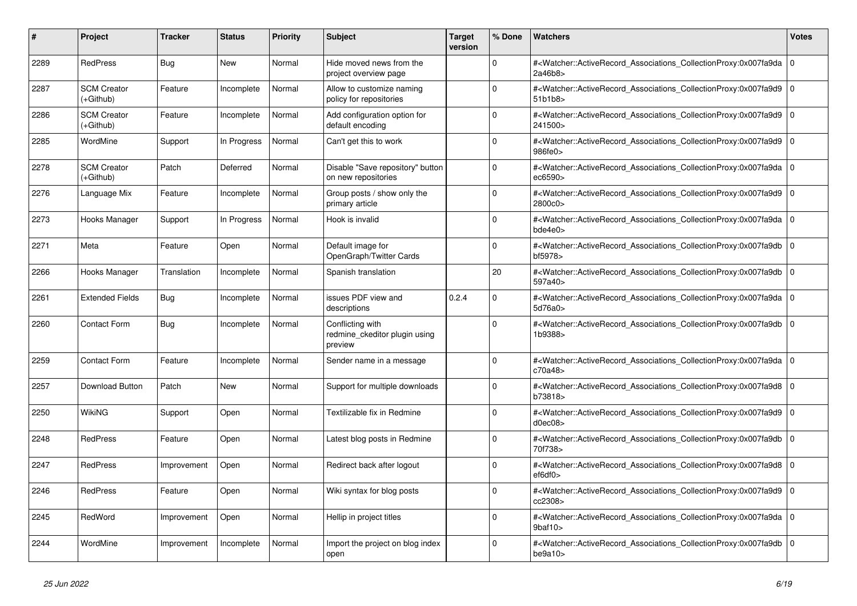| #    | <b>Project</b>                  | <b>Tracker</b> | <b>Status</b> | <b>Priority</b> | <b>Subject</b>                                               | <b>Target</b><br>version | % Done   | <b>Watchers</b>                                                                                                                                          | <b>Votes</b> |
|------|---------------------------------|----------------|---------------|-----------------|--------------------------------------------------------------|--------------------------|----------|----------------------------------------------------------------------------------------------------------------------------------------------------------|--------------|
| 2289 | <b>RedPress</b>                 | Bug            | <b>New</b>    | Normal          | Hide moved news from the<br>project overview page            |                          | $\Omega$ | # <watcher::activerecord_associations_collectionproxy:0x007fa9da 0<br=""  ="">2a46b8&gt;</watcher::activerecord_associations_collectionproxy:0x007fa9da> |              |
| 2287 | <b>SCM Creator</b><br>(+Github) | Feature        | Incomplete    | Normal          | Allow to customize naming<br>policy for repositories         |                          | $\Omega$ | # <watcher::activerecord_associations_collectionproxy:0x007fa9d9<br>51b1b8&gt;</watcher::activerecord_associations_collectionproxy:0x007fa9d9<br>        | $\Omega$     |
| 2286 | <b>SCM Creator</b><br>(+Github) | Feature        | Incomplete    | Normal          | Add configuration option for<br>default encoding             |                          | $\Omega$ | # <watcher::activerecord 0<br="" associations="" collectionproxy:0x007fa9d9=""  ="">241500&gt;</watcher::activerecord>                                   |              |
| 2285 | WordMine                        | Support        | In Progress   | Normal          | Can't get this to work                                       |                          | $\Omega$ | # <watcher::activerecord_associations_collectionproxy:0x007fa9d9<br>986fe0&gt;</watcher::activerecord_associations_collectionproxy:0x007fa9d9<br>        | $\mathbf 0$  |
| 2278 | <b>SCM Creator</b><br>(+Github) | Patch          | Deferred      | Normal          | Disable "Save repository" button<br>on new repositories      |                          | $\Omega$ | # <watcher::activerecord 0<br="" associations="" collectionproxy:0x007fa9da=""  ="">ec6590&gt;</watcher::activerecord>                                   |              |
| 2276 | Language Mix                    | Feature        | Incomplete    | Normal          | Group posts / show only the<br>primary article               |                          | $\Omega$ | # <watcher::activerecord_associations_collectionproxy:0x007fa9d9 0<br=""  ="">2800c0&gt;</watcher::activerecord_associations_collectionproxy:0x007fa9d9> |              |
| 2273 | Hooks Manager                   | Support        | In Progress   | Normal          | Hook is invalid                                              |                          | $\Omega$ | # <watcher::activerecord_associations_collectionproxy:0x007fa9da  <br="">bde4e0&gt;</watcher::activerecord_associations_collectionproxy:0x007fa9da>      | $\mathbf 0$  |
| 2271 | Meta                            | Feature        | Open          | Normal          | Default image for<br>OpenGraph/Twitter Cards                 |                          | $\Omega$ | # <watcher::activerecord_associations_collectionproxy:0x007fa9db 0<br=""  ="">bf5978&gt;</watcher::activerecord_associations_collectionproxy:0x007fa9db> |              |
| 2266 | Hooks Manager                   | Translation    | Incomplete    | Normal          | Spanish translation                                          |                          | 20       | # <watcher::activerecord_associations_collectionproxy:0x007fa9db 0<br=""  ="">597a40&gt;</watcher::activerecord_associations_collectionproxy:0x007fa9db> |              |
| 2261 | <b>Extended Fields</b>          | Bug            | Incomplete    | Normal          | issues PDF view and<br>descriptions                          | 0.2.4                    | $\Omega$ | # <watcher::activerecord 0<br="" associations="" collectionproxy:0x007fa9da=""  ="">5d76a0&gt;</watcher::activerecord>                                   |              |
| 2260 | Contact Form                    | Bug            | Incomplete    | Normal          | Conflicting with<br>redmine ckeditor plugin using<br>preview |                          | $\Omega$ | # <watcher::activerecord_associations_collectionproxy:0x007fa9db  <br="">1b9388&gt;</watcher::activerecord_associations_collectionproxy:0x007fa9db>      | $\mathbf 0$  |
| 2259 | <b>Contact Form</b>             | Feature        | Incomplete    | Normal          | Sender name in a message                                     |                          | $\Omega$ | # <watcher::activerecord_associations_collectionproxy:0x007fa9da 0<br=""  ="">c70a48&gt;</watcher::activerecord_associations_collectionproxy:0x007fa9da> |              |
| 2257 | Download Button                 | Patch          | <b>New</b>    | Normal          | Support for multiple downloads                               |                          | $\Omega$ | # <watcher::activerecord associations="" collectionproxy:0x007fa9d8<br="">b73818&gt;</watcher::activerecord>                                             | $\mathbf 0$  |
| 2250 | WikiNG                          | Support        | Open          | Normal          | Textilizable fix in Redmine                                  |                          | $\Omega$ | # <watcher::activerecord associations="" collectionproxy:0x007fa9d9<br="">d0ec08</watcher::activerecord>                                                 | $\mathbf 0$  |
| 2248 | <b>RedPress</b>                 | Feature        | Open          | Normal          | Latest blog posts in Redmine                                 |                          | $\Omega$ | # <watcher::activerecord 0<br="" associations="" collectionproxy:0x007fa9db=""  ="">70f738&gt;</watcher::activerecord>                                   |              |
| 2247 | <b>RedPress</b>                 | Improvement    | Open          | Normal          | Redirect back after logout                                   |                          | $\Omega$ | # <watcher::activerecord associations="" collectionproxy:0x007fa9d8<br="">ef6df0</watcher::activerecord>                                                 | $\mathbf 0$  |
| 2246 | <b>RedPress</b>                 | Feature        | Open          | Normal          | Wiki syntax for blog posts                                   |                          | $\Omega$ | # <watcher::activerecord_associations_collectionproxy:0x007fa9d9  <br="">cc2308&gt;</watcher::activerecord_associations_collectionproxy:0x007fa9d9>      | $\mathbf 0$  |
| 2245 | RedWord                         | Improvement    | Open          | Normal          | Hellip in project titles                                     |                          | $\Omega$ | # <watcher::activerecord 0<br="" associations="" collectionproxy:0x007fa9da=""  =""><math>9</math>baf<math>10</math></watcher::activerecord>             |              |
| 2244 | WordMine                        | Improvement    | Incomplete    | Normal          | Import the project on blog index<br>open                     |                          | $\Omega$ | # <watcher::activerecord_associations_collectionproxy:0x007fa9db<br>be9a10&gt;</watcher::activerecord_associations_collectionproxy:0x007fa9db<br>        | $\mathbf 0$  |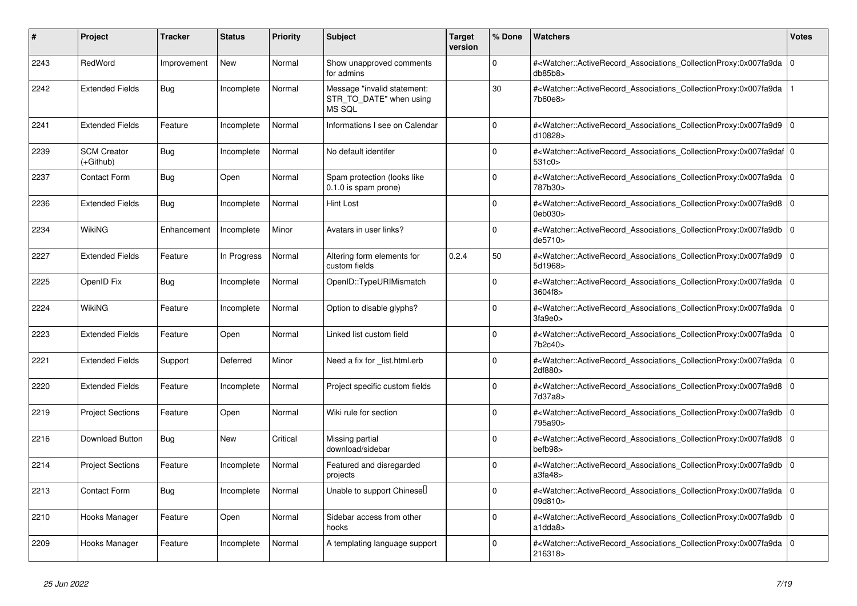| #    | Project                         | <b>Tracker</b> | <b>Status</b> | <b>Priority</b> | <b>Subject</b>                                                   | <b>Target</b><br>version | % Done      | <b>Watchers</b>                                                                                                                                          | Votes          |
|------|---------------------------------|----------------|---------------|-----------------|------------------------------------------------------------------|--------------------------|-------------|----------------------------------------------------------------------------------------------------------------------------------------------------------|----------------|
| 2243 | RedWord                         | Improvement    | <b>New</b>    | Normal          | Show unapproved comments<br>for admins                           |                          | $\Omega$    | # <watcher::activerecord_associations_collectionproxy:0x007fa9da<br>db85b8</watcher::activerecord_associations_collectionproxy:0x007fa9da<br>            | $\overline{0}$ |
| 2242 | <b>Extended Fields</b>          | <b>Bug</b>     | Incomplete    | Normal          | Message "invalid statement:<br>STR_TO_DATE" when using<br>MS SQL |                          | 30          | # <watcher::activerecord_associations_collectionproxy:0x007fa9da<br>7b60e8&gt;</watcher::activerecord_associations_collectionproxy:0x007fa9da<br>        |                |
| 2241 | <b>Extended Fields</b>          | Feature        | Incomplete    | Normal          | Informations I see on Calendar                                   |                          | $\Omega$    | # <watcher::activerecord associations="" collectionproxy:0x007fa9d9<br="">d10828&gt;</watcher::activerecord>                                             | I٥             |
| 2239 | <b>SCM Creator</b><br>(+Github) | <b>Bug</b>     | Incomplete    | Normal          | No default identifer                                             |                          | $\Omega$    | # <watcher::activerecord_associations_collectionproxy:0x007fa9daf 0<br="">531c0&gt;</watcher::activerecord_associations_collectionproxy:0x007fa9daf>     |                |
| 2237 | <b>Contact Form</b>             | Bug            | Open          | Normal          | Spam protection (looks like<br>0.1.0 is spam prone)              |                          | $\Omega$    | # <watcher::activerecord_associations_collectionproxy:0x007fa9da 0<br=""  ="">787b30&gt;</watcher::activerecord_associations_collectionproxy:0x007fa9da> |                |
| 2236 | <b>Extended Fields</b>          | <b>Bug</b>     | Incomplete    | Normal          | Hint Lost                                                        |                          | $\Omega$    | # <watcher::activerecord associations="" collectionproxy:0x007fa9d8<br="">0eb030&gt;</watcher::activerecord>                                             | 0 I            |
| 2234 | <b>WikiNG</b>                   | Enhancement    | Incomplete    | Minor           | Avatars in user links?                                           |                          | $\Omega$    | # <watcher::activerecord_associations_collectionproxy:0x007fa9db<br>de5710&gt;</watcher::activerecord_associations_collectionproxy:0x007fa9db<br>        | l 0            |
| 2227 | <b>Extended Fields</b>          | Feature        | In Progress   | Normal          | Altering form elements for<br>custom fields                      | 0.2.4                    | 50          | # <watcher::activerecord_associations_collectionproxy:0x007fa9d9 0<br="">5d1968&gt;</watcher::activerecord_associations_collectionproxy:0x007fa9d9>      |                |
| 2225 | OpenID Fix                      | Bug            | Incomplete    | Normal          | OpenID::TypeURIMismatch                                          |                          | $\Omega$    | # <watcher::activerecord_associations_collectionproxy:0x007fa9da<br>3604f8&gt;</watcher::activerecord_associations_collectionproxy:0x007fa9da<br>        | l O            |
| 2224 | WikiNG                          | Feature        | Incomplete    | Normal          | Option to disable glyphs?                                        |                          | $\Omega$    | # <watcher::activerecord_associations_collectionproxy:0x007fa9da<br>3fa9e0</watcher::activerecord_associations_collectionproxy:0x007fa9da<br>            | ۱o             |
| 2223 | <b>Extended Fields</b>          | Feature        | Open          | Normal          | Linked list custom field                                         |                          | $\Omega$    | # <watcher::activerecord associations="" collectionproxy:0x007fa9da<br="">7b2c40&gt;</watcher::activerecord>                                             | ۱o             |
| 2221 | <b>Extended Fields</b>          | Support        | Deferred      | Minor           | Need a fix for list.html.erb                                     |                          | $\Omega$    | # <watcher::activerecord associations="" collectionproxy:0x007fa9da<br="">2df880&gt;</watcher::activerecord>                                             | l 0            |
| 2220 | <b>Extended Fields</b>          | Feature        | Incomplete    | Normal          | Project specific custom fields                                   |                          | $\Omega$    | # <watcher::activerecord_associations_collectionproxy:0x007fa9d8<br>7d37a8&gt;</watcher::activerecord_associations_collectionproxy:0x007fa9d8<br>        | 0 I            |
| 2219 | <b>Project Sections</b>         | Feature        | Open          | Normal          | Wiki rule for section                                            |                          | $\Omega$    | # <watcher::activerecord associations="" collectionproxy:0x007fa9db<br="">795a90&gt;</watcher::activerecord>                                             | l O            |
| 2216 | <b>Download Button</b>          | <b>Bug</b>     | <b>New</b>    | Critical        | Missing partial<br>download/sidebar                              |                          | $\Omega$    | # <watcher::activerecord associations="" collectionproxy:0x007fa9d8<br="">befb98&gt;</watcher::activerecord>                                             | 0 I            |
| 2214 | <b>Project Sections</b>         | Feature        | Incomplete    | Normal          | Featured and disregarded<br>projects                             |                          | $\mathbf 0$ | # <watcher::activerecord_associations_collectionproxy:0x007fa9db<br>a3fa48&gt;</watcher::activerecord_associations_collectionproxy:0x007fa9db<br>        | l 0            |
| 2213 | Contact Form                    | <b>Bug</b>     | Incomplete    | Normal          | Unable to support Chinesell                                      |                          | $\Omega$    | # <watcher::activerecord_associations_collectionproxy:0x007fa9da<br>09d810&gt;</watcher::activerecord_associations_collectionproxy:0x007fa9da<br>        | l O            |
| 2210 | Hooks Manager                   | Feature        | Open          | Normal          | Sidebar access from other<br>hooks                               |                          | $\Omega$    | # <watcher::activerecord associations="" collectionproxy:0x007fa9db<br="">a1dda8</watcher::activerecord>                                                 | 0 I            |
| 2209 | Hooks Manager                   | Feature        | Incomplete    | Normal          | A templating language support                                    |                          | $\Omega$    | # <watcher::activerecord_associations_collectionproxy:0x007fa9da<br>216318&gt;</watcher::activerecord_associations_collectionproxy:0x007fa9da<br>        | l 0            |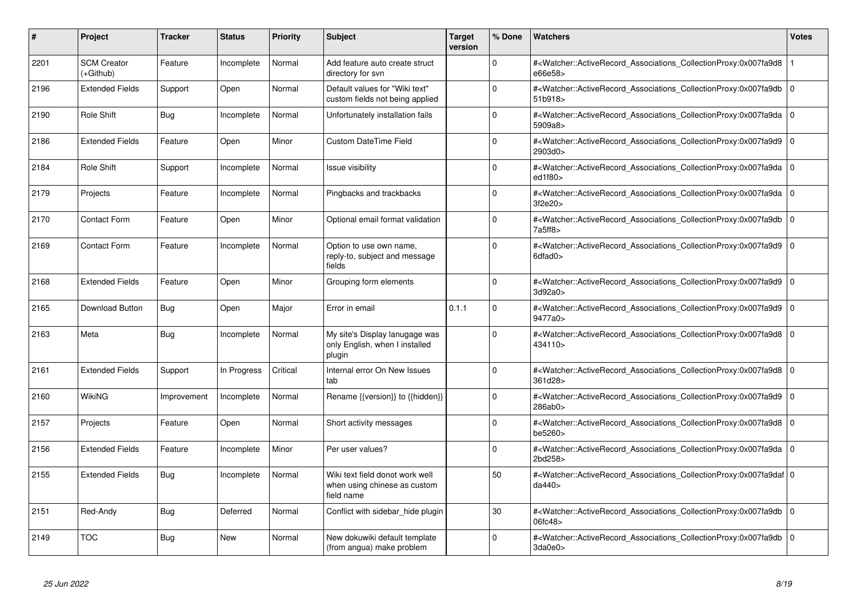| #    | <b>Project</b>                  | <b>Tracker</b> | <b>Status</b> | <b>Priority</b> | <b>Subject</b>                                                                | <b>Target</b><br>version | % Done   | <b>Watchers</b>                                                                                                                                           | <b>Votes</b>   |
|------|---------------------------------|----------------|---------------|-----------------|-------------------------------------------------------------------------------|--------------------------|----------|-----------------------------------------------------------------------------------------------------------------------------------------------------------|----------------|
| 2201 | <b>SCM Creator</b><br>(+Github) | Feature        | Incomplete    | Normal          | Add feature auto create struct<br>directory for svn                           |                          | $\Omega$ | # <watcher::activerecord associations="" collectionproxy:0x007fa9d8<br="">e66e58&gt;</watcher::activerecord>                                              |                |
| 2196 | <b>Extended Fields</b>          | Support        | Open          | Normal          | Default values for "Wiki text"<br>custom fields not being applied             |                          | $\Omega$ | # <watcher::activerecord_associations_collectionproxy:0x007fa9db<br>51b918&gt;</watcher::activerecord_associations_collectionproxy:0x007fa9db<br>         | 0 I            |
| 2190 | Role Shift                      | Bug            | Incomplete    | Normal          | Unfortunately installation fails                                              |                          | $\Omega$ | # <watcher::activerecord 0<br="" associations="" collectionproxy:0x007fa9da=""  ="">5909a8&gt;</watcher::activerecord>                                    |                |
| 2186 | <b>Extended Fields</b>          | Feature        | Open          | Minor           | <b>Custom DateTime Field</b>                                                  |                          | $\Omega$ | # <watcher::activerecord_associations_collectionproxy:0x007fa9d9<br>2903d0&gt;</watcher::activerecord_associations_collectionproxy:0x007fa9d9<br>         | $\overline{0}$ |
| 2184 | Role Shift                      | Support        | Incomplete    | Normal          | <b>Issue visibility</b>                                                       |                          | $\Omega$ | # <watcher::activerecord_associations_collectionproxy:0x007fa9da<br>ed1f80&gt;</watcher::activerecord_associations_collectionproxy:0x007fa9da<br>         | $\overline{0}$ |
| 2179 | Projects                        | Feature        | Incomplete    | Normal          | Pingbacks and trackbacks                                                      |                          | $\Omega$ | # <watcher::activerecord_associations_collectionproxy:0x007fa9da<br>3f2e20&gt;</watcher::activerecord_associations_collectionproxy:0x007fa9da<br>         | $\overline{0}$ |
| 2170 | <b>Contact Form</b>             | Feature        | Open          | Minor           | Optional email format validation                                              |                          | $\Omega$ | # <watcher::activerecord_associations_collectionproxy:0x007fa9db<br>7a5ff8</watcher::activerecord_associations_collectionproxy:0x007fa9db<br>             | l 0            |
| 2169 | Contact Form                    | Feature        | Incomplete    | Normal          | Option to use own name,<br>reply-to, subject and message<br>fields            |                          | $\Omega$ | # <watcher::activerecord_associations_collectionproxy:0x007fa9d9<br>6dfad0&gt;</watcher::activerecord_associations_collectionproxy:0x007fa9d9<br>         | l 0            |
| 2168 | <b>Extended Fields</b>          | Feature        | Open          | Minor           | Grouping form elements                                                        |                          | $\Omega$ | # <watcher::activerecord_associations_collectionproxy:0x007fa9d9 0<br=""  ="">3d92a0&gt;</watcher::activerecord_associations_collectionproxy:0x007fa9d9>  |                |
| 2165 | Download Button                 | Bug            | Open          | Major           | Error in email                                                                | 0.1.1                    | $\Omega$ | # <watcher::activerecord_associations_collectionproxy:0x007fa9d9<br>9477a0&gt;</watcher::activerecord_associations_collectionproxy:0x007fa9d9<br>         | l O            |
| 2163 | Meta                            | Bug            | Incomplete    | Normal          | My site's Display lanugage was<br>only English, when I installed<br>plugin    |                          | $\Omega$ | # <watcher::activerecord_associations_collectionproxy:0x007fa9d8<br>434110&gt;</watcher::activerecord_associations_collectionproxy:0x007fa9d8<br>         | ۱o             |
| 2161 | <b>Extended Fields</b>          | Support        | In Progress   | Critical        | Internal error On New Issues<br>tab                                           |                          | $\Omega$ | # <watcher::activerecord associations="" collectionproxy:0x007fa9d8<br="">361d28&gt;</watcher::activerecord>                                              | l O            |
| 2160 | WikiNG                          | Improvement    | Incomplete    | Normal          | Rename {{version}} to {{hidden}}                                              |                          | $\Omega$ | # <watcher::activerecord_associations_collectionproxy:0x007fa9d9<br>286ab0&gt;</watcher::activerecord_associations_collectionproxy:0x007fa9d9<br>         | l O            |
| 2157 | Projects                        | Feature        | Open          | Normal          | Short activity messages                                                       |                          | $\Omega$ | # <watcher::activerecord_associations_collectionproxy:0x007fa9d8 0<br="">be5260&gt;</watcher::activerecord_associations_collectionproxy:0x007fa9d8>       |                |
| 2156 | <b>Extended Fields</b>          | Feature        | Incomplete    | Minor           | Per user values?                                                              |                          | $\Omega$ | # <watcher::activerecord_associations_collectionproxy:0x007fa9da 0<br=""  ="">2bd258&gt;</watcher::activerecord_associations_collectionproxy:0x007fa9da>  |                |
| 2155 | <b>Extended Fields</b>          | Bug            | Incomplete    | Normal          | Wiki text field donot work well<br>when using chinese as custom<br>field name |                          | 50       | # <watcher::activerecord_associations_collectionproxy:0x007fa9daf 0<br=""  ="">da440&gt;</watcher::activerecord_associations_collectionproxy:0x007fa9daf> |                |
| 2151 | Red-Andy                        | <b>Bug</b>     | Deferred      | Normal          | Conflict with sidebar_hide plugin                                             |                          | 30       | # <watcher::activerecord_associations_collectionproxy:0x007fa9db<br>06fc48&gt;</watcher::activerecord_associations_collectionproxy:0x007fa9db<br>         | l O            |
| 2149 | <b>TOC</b>                      | <b>Bug</b>     | <b>New</b>    | Normal          | New dokuwiki default template<br>(from angua) make problem                    |                          | $\Omega$ | # <watcher::activerecord_associations_collectionproxy:0x007fa9db<br>3da0e0&gt;</watcher::activerecord_associations_collectionproxy:0x007fa9db<br>         | l 0            |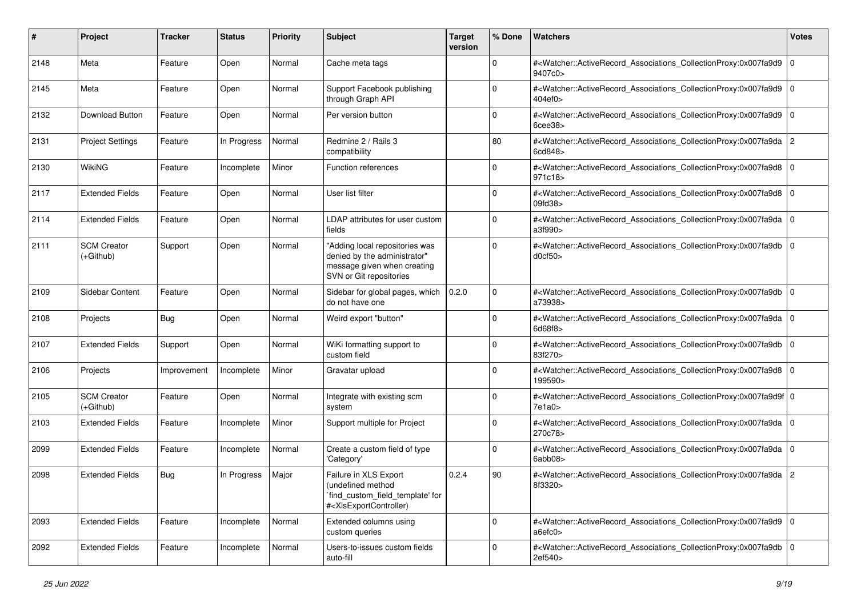| #    | Project                           | <b>Tracker</b> | <b>Status</b> | <b>Priority</b> | <b>Subject</b>                                                                                                                                                                                                                                                                                                                         | <b>Target</b><br>version | % Done      | Watchers                                                                                                                                                  | <b>Votes</b> |
|------|-----------------------------------|----------------|---------------|-----------------|----------------------------------------------------------------------------------------------------------------------------------------------------------------------------------------------------------------------------------------------------------------------------------------------------------------------------------------|--------------------------|-------------|-----------------------------------------------------------------------------------------------------------------------------------------------------------|--------------|
| 2148 | Meta                              | Feature        | Open          | Normal          | Cache meta tags                                                                                                                                                                                                                                                                                                                        |                          | 0           | # <watcher::activerecord_associations_collectionproxy:0x007fa9d9 0<br=""  ="">9407c0&gt;</watcher::activerecord_associations_collectionproxy:0x007fa9d9>  |              |
| 2145 | Meta                              | Feature        | Open          | Normal          | Support Facebook publishing<br>through Graph API                                                                                                                                                                                                                                                                                       |                          | $\Omega$    | # <watcher::activerecord_associations_collectionproxy:0x007fa9d9 0<br="">404ef0&gt;</watcher::activerecord_associations_collectionproxy:0x007fa9d9>       |              |
| 2132 | Download Button                   | Feature        | Open          | Normal          | Per version button                                                                                                                                                                                                                                                                                                                     |                          | $\mathbf 0$ | # <watcher::activerecord_associations_collectionproxy:0x007fa9d9 0<br=""  ="">6cee38</watcher::activerecord_associations_collectionproxy:0x007fa9d9>      |              |
| 2131 | <b>Project Settings</b>           | Feature        | In Progress   | Normal          | Redmine 2 / Rails 3<br>compatibility                                                                                                                                                                                                                                                                                                   |                          | 80          | # <watcher::activerecord_associations_collectionproxy:0x007fa9da 2<br="">6cd848&gt;</watcher::activerecord_associations_collectionproxy:0x007fa9da>       |              |
| 2130 | <b>WikiNG</b>                     | Feature        | Incomplete    | Minor           | Function references                                                                                                                                                                                                                                                                                                                    |                          | $\mathbf 0$ | # <watcher::activerecord_associations_collectionproxy:0x007fa9d8 0<br=""  ="">971c18&gt;</watcher::activerecord_associations_collectionproxy:0x007fa9d8>  |              |
| 2117 | <b>Extended Fields</b>            | Feature        | Open          | Normal          | User list filter                                                                                                                                                                                                                                                                                                                       |                          | $\Omega$    | # <watcher::activerecord_associations_collectionproxy:0x007fa9d8 0<br="">09fd38&gt;</watcher::activerecord_associations_collectionproxy:0x007fa9d8>       |              |
| 2114 | <b>Extended Fields</b>            | Feature        | Open          | Normal          | LDAP attributes for user custom<br>fields                                                                                                                                                                                                                                                                                              |                          | $\mathbf 0$ | # <watcher::activerecord_associations_collectionproxy:0x007fa9da 0<br=""  ="">a3f990&gt;</watcher::activerecord_associations_collectionproxy:0x007fa9da>  |              |
| 2111 | <b>SCM Creator</b><br>$(+Github)$ | Support        | Open          | Normal          | "Adding local repositories was<br>denied by the administrator"<br>message given when creating<br>SVN or Git repositories                                                                                                                                                                                                               |                          | $\mathbf 0$ | # <watcher::activerecord_associations_collectionproxy:0x007fa9db 0<br=""  ="">d0cf50&gt;</watcher::activerecord_associations_collectionproxy:0x007fa9db>  |              |
| 2109 | Sidebar Content                   | Feature        | Open          | Normal          | Sidebar for global pages, which<br>do not have one                                                                                                                                                                                                                                                                                     | 0.2.0                    | $\mathbf 0$ | # <watcher::activerecord_associations_collectionproxy:0x007fa9db 0<br="">a73938&gt;</watcher::activerecord_associations_collectionproxy:0x007fa9db>       |              |
| 2108 | Projects                          | Bug            | Open          | Normal          | Weird export "button"                                                                                                                                                                                                                                                                                                                  |                          | $\mathbf 0$ | # <watcher::activerecord_associations_collectionproxy:0x007fa9da 0<br="">6d68f8&gt;</watcher::activerecord_associations_collectionproxy:0x007fa9da>       |              |
| 2107 | <b>Extended Fields</b>            | Support        | Open          | Normal          | WiKi formatting support to<br>custom field                                                                                                                                                                                                                                                                                             |                          | $\mathbf 0$ | # <watcher::activerecord_associations_collectionproxy:0x007fa9db 0<br="">83f270&gt;</watcher::activerecord_associations_collectionproxy:0x007fa9db>       |              |
| 2106 | Projects                          | Improvement    | Incomplete    | Minor           | Gravatar upload                                                                                                                                                                                                                                                                                                                        |                          | $\Omega$    | # <watcher::activerecord_associations_collectionproxy:0x007fa9d8 0<br=""  ="">199590&gt;</watcher::activerecord_associations_collectionproxy:0x007fa9d8>  |              |
| 2105 | <b>SCM Creator</b><br>$(+Github)$ | Feature        | Open          | Normal          | Integrate with existing scm<br>system                                                                                                                                                                                                                                                                                                  |                          | $\Omega$    | # <watcher::activerecord_associations_collectionproxy:0x007fa9d9f 0<br=""  ="">7e1a0&gt;</watcher::activerecord_associations_collectionproxy:0x007fa9d9f> |              |
| 2103 | <b>Extended Fields</b>            | Feature        | Incomplete    | Minor           | Support multiple for Project                                                                                                                                                                                                                                                                                                           |                          | $\mathbf 0$ | # <watcher::activerecord_associations_collectionproxy:0x007fa9da 0<br="">270c78&gt;</watcher::activerecord_associations_collectionproxy:0x007fa9da>       |              |
| 2099 | <b>Extended Fields</b>            | Feature        | Incomplete    | Normal          | Create a custom field of type<br>'Category'                                                                                                                                                                                                                                                                                            |                          | $\mathbf 0$ | # <watcher::activerecord_associations_collectionproxy:0x007fa9da 0<br="">6abb08&gt;</watcher::activerecord_associations_collectionproxy:0x007fa9da>       |              |
| 2098 | <b>Extended Fields</b>            | <b>Bug</b>     | In Progress   | Major           | Failure in XLS Export<br>(undefined method<br>`find_custom_field_template' for<br># <xisexportcontroller)< td=""><td>0.2.4</td><td>90</td><td>#<watcher::activerecord_associations_collectionproxy:0x007fa9da 2<br="">8f3320&gt;</watcher::activerecord_associations_collectionproxy:0x007fa9da></td><td></td></xisexportcontroller)<> | 0.2.4                    | 90          | # <watcher::activerecord_associations_collectionproxy:0x007fa9da 2<br="">8f3320&gt;</watcher::activerecord_associations_collectionproxy:0x007fa9da>       |              |
| 2093 | <b>Extended Fields</b>            | Feature        | Incomplete    | Normal          | Extended columns using<br>custom queries                                                                                                                                                                                                                                                                                               |                          | $\mathbf 0$ | # <watcher::activerecord_associations_collectionproxy:0x007fa9d9 0<br="">a6efc0</watcher::activerecord_associations_collectionproxy:0x007fa9d9>           |              |
| 2092 | <b>Extended Fields</b>            | Feature        | Incomplete    | Normal          | Users-to-issues custom fields<br>auto-fill                                                                                                                                                                                                                                                                                             |                          | $\mathbf 0$ | # <watcher::activerecord_associations_collectionproxy:0x007fa9db 0<br=""  ="">2ef540&gt;</watcher::activerecord_associations_collectionproxy:0x007fa9db>  |              |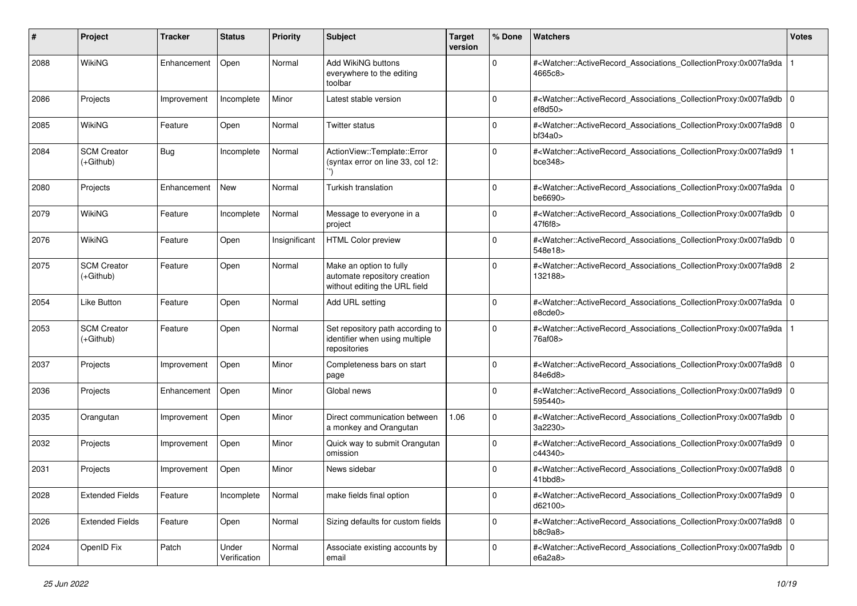| #    | Project                           | <b>Tracker</b> | <b>Status</b>         | <b>Priority</b> | <b>Subject</b>                                                                           | <b>Target</b><br>version | % Done      | Watchers                                                                                                                                                                  | <b>Votes</b> |
|------|-----------------------------------|----------------|-----------------------|-----------------|------------------------------------------------------------------------------------------|--------------------------|-------------|---------------------------------------------------------------------------------------------------------------------------------------------------------------------------|--------------|
| 2088 | WikiNG                            | Enhancement    | Open                  | Normal          | Add WikiNG buttons<br>everywhere to the editing<br>toolbar                               |                          | $\mathbf 0$ | # <watcher::activerecord_associations_collectionproxy:0x007fa9da<br>4665c8&gt;</watcher::activerecord_associations_collectionproxy:0x007fa9da<br>                         |              |
| 2086 | Projects                          | Improvement    | Incomplete            | Minor           | Latest stable version                                                                    |                          | $\mathbf 0$ | # <watcher::activerecord_associations_collectionproxy:0x007fa9db<br>ef8d50</watcher::activerecord_associations_collectionproxy:0x007fa9db<br>                             | l O          |
| 2085 | <b>WikiNG</b>                     | Feature        | Open                  | Normal          | Twitter status                                                                           |                          | $\Omega$    | # <watcher::activerecord_associations_collectionproxy:0x007fa9d8 0<br=""  ="">bf34a0&gt;</watcher::activerecord_associations_collectionproxy:0x007fa9d8>                  |              |
| 2084 | <b>SCM Creator</b><br>$(+Github)$ | <b>Bug</b>     | Incomplete            | Normal          | ActionView::Template::Error<br>(syntax error on line 33, col 12:                         |                          | 0           | # <watcher::activerecord_associations_collectionproxy:0x007fa9d9<br>bce348</watcher::activerecord_associations_collectionproxy:0x007fa9d9<br>                             |              |
| 2080 | Projects                          | Enhancement    | New                   | Normal          | Turkish translation                                                                      |                          | $\Omega$    | # <watcher::activerecord_associations_collectionproxy:0x007fa9da 0<br=""  ="">be6690&gt;</watcher::activerecord_associations_collectionproxy:0x007fa9da>                  |              |
| 2079 | <b>WikiNG</b>                     | Feature        | Incomplete            | Normal          | Message to everyone in a<br>project                                                      |                          | $\mathbf 0$ | # <watcher::activerecord_associations_collectionproxy:0x007fa9db<br>47f6f8&gt;</watcher::activerecord_associations_collectionproxy:0x007fa9db<br>                         | l O          |
| 2076 | WikiNG                            | Feature        | Open                  | Insignificant   | <b>HTML Color preview</b>                                                                |                          | 0           | # <watcher::activerecord_associations_collectionproxy:0x007fa9db 0<br=""  ="">548e18&gt;</watcher::activerecord_associations_collectionproxy:0x007fa9db>                  |              |
| 2075 | <b>SCM Creator</b><br>(+Github)   | Feature        | Open                  | Normal          | Make an option to fully<br>automate repository creation<br>without editing the URL field |                          | $\Omega$    | # <watcher::activerecord_associations_collectionproxy:0x007fa9d8 2<br="">132188&gt;</watcher::activerecord_associations_collectionproxy:0x007fa9d8>                       |              |
| 2054 | Like Button                       | Feature        | Open                  | Normal          | Add URL setting                                                                          |                          | $\Omega$    | # <watcher::activerecord_associations_collectionproxy:0x007fa9da 0<br="">e8cde0</watcher::activerecord_associations_collectionproxy:0x007fa9da>                           |              |
| 2053 | <b>SCM Creator</b><br>(+Github)   | Feature        | Open                  | Normal          | Set repository path according to<br>identifier when using multiple<br>repositories       |                          | 0           | # <watcher::activerecord_associations_collectionproxy:0x007fa9da<br>76af08&gt;</watcher::activerecord_associations_collectionproxy:0x007fa9da<br>                         |              |
| 2037 | Projects                          | Improvement    | Open                  | Minor           | Completeness bars on start<br>page                                                       |                          | $\Omega$    | # <watcher::activerecord_associations_collectionproxy:0x007fa9d8 0<br=""  ="">84e6d8&gt;</watcher::activerecord_associations_collectionproxy:0x007fa9d8>                  |              |
| 2036 | Projects                          | Enhancement    | Open                  | Minor           | Global news                                                                              |                          | $\mathbf 0$ | # <watcher::activerecord_associations_collectionproxy:0x007fa9d9<br>595440&gt;</watcher::activerecord_associations_collectionproxy:0x007fa9d9<br>                         | l O          |
| 2035 | Orangutan                         | Improvement    | Open                  | Minor           | Direct communication between<br>a monkey and Orangutan                                   | 1.06                     | $\mathbf 0$ | # <watcher::activerecord_associations_collectionproxy:0x007fa9db 0<br=""  ="">3a2230&gt;</watcher::activerecord_associations_collectionproxy:0x007fa9db>                  |              |
| 2032 | Projects                          | Improvement    | Open                  | Minor           | Quick way to submit Orangutan<br>omission                                                |                          | $\Omega$    | # <watcher::activerecord_associations_collectionproxy:0x007fa9d9 0<br="">c44340&gt;</watcher::activerecord_associations_collectionproxy:0x007fa9d9>                       |              |
| 2031 | Projects                          | Improvement    | Open                  | Minor           | News sidebar                                                                             |                          | $\Omega$    | # <watcher::activerecord_associations_collectionproxy:0x007fa9d8 0<br=""><math>41</math>bbd<math>8</math></watcher::activerecord_associations_collectionproxy:0x007fa9d8> |              |
| 2028 | <b>Extended Fields</b>            | Feature        | Incomplete            | Normal          | make fields final option                                                                 |                          | 0           | # <watcher::activerecord_associations_collectionproxy:0x007fa9d9 0<br=""  ="">d62100&gt;</watcher::activerecord_associations_collectionproxy:0x007fa9d9>                  |              |
| 2026 | <b>Extended Fields</b>            | Feature        | Open                  | Normal          | Sizing defaults for custom fields                                                        |                          | $\mathbf 0$ | # <watcher::activerecord 0<br="" associations="" collectionproxy:0x007fa9d8="">b8c9a8</watcher::activerecord>                                                             |              |
| 2024 | OpenID Fix                        | Patch          | Under<br>Verification | Normal          | Associate existing accounts by<br>email                                                  |                          | $\mathbf 0$ | # <watcher::activerecord_associations_collectionproxy:0x007fa9db 0<br="">e6a2a8&gt;</watcher::activerecord_associations_collectionproxy:0x007fa9db>                       |              |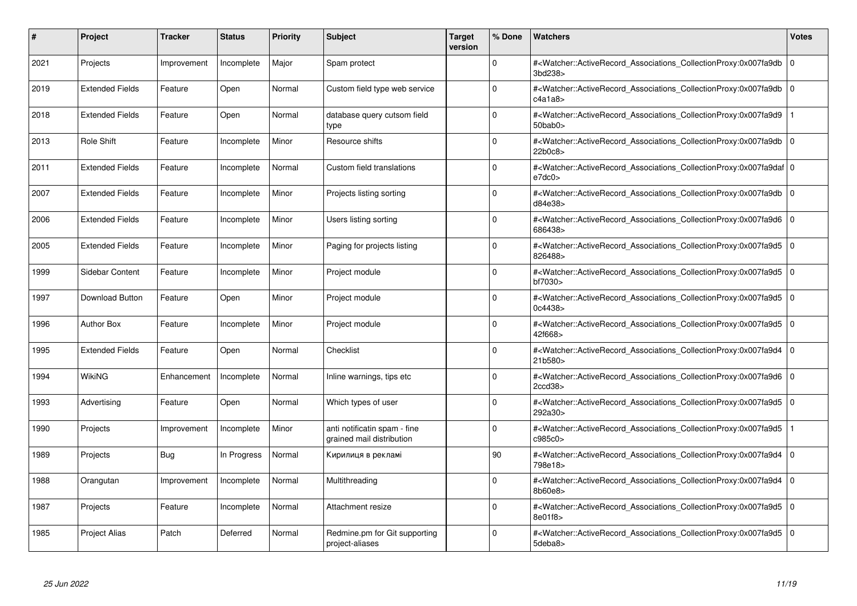| #    | Project                | <b>Tracker</b> | <b>Status</b> | <b>Priority</b> | <b>Subject</b>                                            | <b>Target</b><br>version | % Done      | <b>Watchers</b>                                                                                                                                          | <b>Votes</b> |
|------|------------------------|----------------|---------------|-----------------|-----------------------------------------------------------|--------------------------|-------------|----------------------------------------------------------------------------------------------------------------------------------------------------------|--------------|
| 2021 | Projects               | Improvement    | Incomplete    | Major           | Spam protect                                              |                          | $\Omega$    | # <watcher::activerecord associations="" collectionproxy:0x007fa9db<br="">3bd238&gt;</watcher::activerecord>                                             | $\mathbf 0$  |
| 2019 | <b>Extended Fields</b> | Feature        | Open          | Normal          | Custom field type web service                             |                          | $\Omega$    | # <watcher::activerecord_associations_collectionproxy:0x007fa9db  <br="">c4a1a8</watcher::activerecord_associations_collectionproxy:0x007fa9db>          | $\mathbf 0$  |
| 2018 | <b>Extended Fields</b> | Feature        | Open          | Normal          | database query cutsom field<br>type                       |                          | $\Omega$    | # <watcher::activerecord associations="" collectionproxy:0x007fa9d9<br=""><math>50</math>bab<math>0</math></watcher::activerecord>                       |              |
| 2013 | Role Shift             | Feature        | Incomplete    | Minor           | Resource shifts                                           |                          | $\Omega$    | # <watcher::activerecord 0<br="" associations="" collectionproxy:0x007fa9db=""  ="">22b0c8</watcher::activerecord>                                       |              |
| 2011 | <b>Extended Fields</b> | Feature        | Incomplete    | Normal          | Custom field translations                                 |                          | $\Omega$    | # <watcher::activerecord_associations_collectionproxy:0x007fa9daf 0<br=""  ="">e7dc0</watcher::activerecord_associations_collectionproxy:0x007fa9daf>    |              |
| 2007 | <b>Extended Fields</b> | Feature        | Incomplete    | Minor           | Projects listing sorting                                  |                          | $\Omega$    | # <watcher::activerecord associations="" collectionproxy:0x007fa9db<br="">d84e38&gt;</watcher::activerecord>                                             | $\mathbf 0$  |
| 2006 | <b>Extended Fields</b> | Feature        | Incomplete    | Minor           | Users listing sorting                                     |                          | $\Omega$    | # <watcher::activerecord_associations_collectionproxy:0x007fa9d6 0<br=""  ="">686438&gt;</watcher::activerecord_associations_collectionproxy:0x007fa9d6> |              |
| 2005 | <b>Extended Fields</b> | Feature        | Incomplete    | Minor           | Paging for projects listing                               |                          | $\Omega$    | # <watcher::activerecord 0<br="" associations="" collectionproxy:0x007fa9d5=""  ="">826488&gt;</watcher::activerecord>                                   |              |
| 1999 | Sidebar Content        | Feature        | Incomplete    | Minor           | Project module                                            |                          | $\Omega$    | # <watcher::activerecord_associations_collectionproxy:0x007fa9d5 0<br=""  ="">bf7030&gt;</watcher::activerecord_associations_collectionproxy:0x007fa9d5> |              |
| 1997 | <b>Download Button</b> | Feature        | Open          | Minor           | Project module                                            |                          | $\Omega$    | # <watcher::activerecord_associations_collectionproxy:0x007fa9d5 0<br=""  ="">0c4438&gt;</watcher::activerecord_associations_collectionproxy:0x007fa9d5> |              |
| 1996 | <b>Author Box</b>      | Feature        | Incomplete    | Minor           | Project module                                            |                          | $\Omega$    | # <watcher::activerecord 0<br="" associations="" collectionproxy:0x007fa9d5=""  ="">42f668&gt;</watcher::activerecord>                                   |              |
| 1995 | <b>Extended Fields</b> | Feature        | Open          | Normal          | Checklist                                                 |                          | $\Omega$    | # <watcher::activerecord associations="" collectionproxy:0x007fa9d4=""  <br="">21b580&gt;</watcher::activerecord>                                        | $\Omega$     |
| 1994 | WikiNG                 | Enhancement    | Incomplete    | Normal          | Inline warnings, tips etc                                 |                          | $\Omega$    | # <watcher::activerecord 0<br="" associations="" collectionproxy:0x007fa9d6=""  ="">2ccd38</watcher::activerecord>                                       |              |
| 1993 | Advertising            | Feature        | Open          | Normal          | Which types of user                                       |                          | $\mathbf 0$ | # <watcher::activerecord_associations_collectionproxy:0x007fa9d5 0<br=""  ="">292a30&gt;</watcher::activerecord_associations_collectionproxy:0x007fa9d5> |              |
| 1990 | Projects               | Improvement    | Incomplete    | Minor           | anti notificatin spam - fine<br>grained mail distribution |                          | $\Omega$    | # <watcher::activerecord_associations_collectionproxy:0x007fa9d5<br>c985c0&gt;</watcher::activerecord_associations_collectionproxy:0x007fa9d5<br>        |              |
| 1989 | Projects               | Bug            | In Progress   | Normal          | Кирилиця в рекламі                                        |                          | 90          | # <watcher::activerecord 0<br="" associations="" collectionproxy:0x007fa9d4=""  ="">798e18&gt;</watcher::activerecord>                                   |              |
| 1988 | Orangutan              | Improvement    | Incomplete    | Normal          | Multithreading                                            |                          | $\Omega$    | # <watcher::activerecord 0<br="" associations="" collectionproxy:0x007fa9d4=""  ="">8b60e8&gt;</watcher::activerecord>                                   |              |
| 1987 | Projects               | Feature        | Incomplete    | Normal          | Attachment resize                                         |                          | $\Omega$    | # <watcher::activerecord 0<br="" associations="" collectionproxy:0x007fa9d5=""  ="">8e01f8&gt;</watcher::activerecord>                                   |              |
| 1985 | <b>Project Alias</b>   | Patch          | Deferred      | Normal          | Redmine.pm for Git supporting<br>project-aliases          |                          | $\Omega$    | # <watcher::activerecord_associations_collectionproxy:0x007fa9d5 0<br=""  ="">5deba8&gt;</watcher::activerecord_associations_collectionproxy:0x007fa9d5> |              |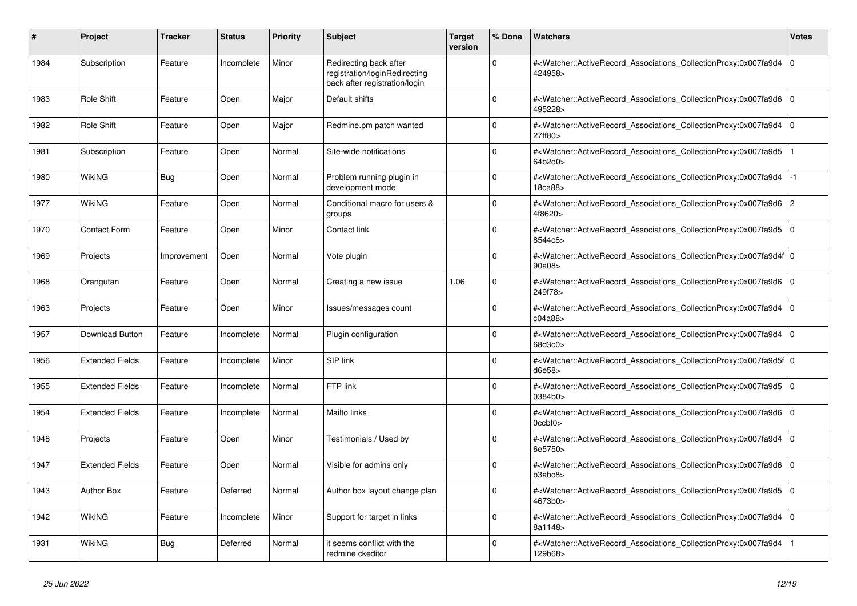| #    | Project                | <b>Tracker</b> | <b>Status</b> | Priority | <b>Subject</b>                                                                           | <b>Target</b><br>version | % Done   | <b>Watchers</b>                                                                                                                                                         | <b>Votes</b>   |
|------|------------------------|----------------|---------------|----------|------------------------------------------------------------------------------------------|--------------------------|----------|-------------------------------------------------------------------------------------------------------------------------------------------------------------------------|----------------|
| 1984 | Subscription           | Feature        | Incomplete    | Minor    | Redirecting back after<br>registration/loginRedirecting<br>back after registration/login |                          | $\Omega$ | # <watcher::activerecord_associations_collectionproxy:0x007fa9d4<br>424958&gt;</watcher::activerecord_associations_collectionproxy:0x007fa9d4<br>                       | $\mathbf 0$    |
| 1983 | Role Shift             | Feature        | Open          | Major    | Default shifts                                                                           |                          | O        | # <watcher::activerecord_associations_collectionproxy:0x007fa9d6 0<br=""  ="">495228&gt;</watcher::activerecord_associations_collectionproxy:0x007fa9d6>                |                |
| 1982 | Role Shift             | Feature        | Open          | Major    | Redmine.pm patch wanted                                                                  |                          | $\Omega$ | # <watcher::activerecord associations="" collectionproxy:0x007fa9d4<br="">27ff80&gt;</watcher::activerecord>                                                            | ۱o             |
| 1981 | Subscription           | Feature        | Open          | Normal   | Site-wide notifications                                                                  |                          | $\Omega$ | # <watcher::activerecord_associations_collectionproxy:0x007fa9d5<br>64b2d0&gt;</watcher::activerecord_associations_collectionproxy:0x007fa9d5<br>                       |                |
| 1980 | <b>WikiNG</b>          | Bug            | Open          | Normal   | Problem running plugin in<br>development mode                                            |                          | $\Omega$ | # <watcher::activerecord associations="" collectionproxy:0x007fa9d4<br="">18ca88&gt;</watcher::activerecord>                                                            | $-1$           |
| 1977 | WikiNG                 | Feature        | Open          | Normal   | Conditional macro for users &<br>groups                                                  |                          | $\Omega$ | # <watcher::activerecord associations="" collectionproxy:0x007fa9d6<br="">4f8620&gt;</watcher::activerecord>                                                            | $\overline{2}$ |
| 1970 | <b>Contact Form</b>    | Feature        | Open          | Minor    | Contact link                                                                             |                          | $\Omega$ | # <watcher::activerecord_associations_collectionproxy:0x007fa9d5<br>8544c8&gt;</watcher::activerecord_associations_collectionproxy:0x007fa9d5<br>                       | l 0            |
| 1969 | Projects               | Improvement    | Open          | Normal   | Vote plugin                                                                              |                          | $\Omega$ | # <watcher::activerecord_associations_collectionproxy:0x007fa9d4f 0<br=""  ="">90a08&gt;</watcher::activerecord_associations_collectionproxy:0x007fa9d4f>               |                |
| 1968 | Orangutan              | Feature        | Open          | Normal   | Creating a new issue                                                                     | 1.06                     | $\Omega$ | # <watcher::activerecord associations="" collectionproxy:0x007fa9d6<br="">249f78&gt;</watcher::activerecord>                                                            | 0              |
| 1963 | Projects               | Feature        | Open          | Minor    | Issues/messages count                                                                    |                          | $\Omega$ | # <watcher::activerecord_associations_collectionproxy:0x007fa9d4<br>c04a88&gt;</watcher::activerecord_associations_collectionproxy:0x007fa9d4<br>                       | $\Omega$       |
| 1957 | Download Button        | Feature        | Incomplete    | Normal   | Plugin configuration                                                                     |                          | $\Omega$ | # <watcher::activerecord_associations_collectionproxy:0x007fa9d4<br>68d3c0&gt;</watcher::activerecord_associations_collectionproxy:0x007fa9d4<br>                       | $\overline{0}$ |
| 1956 | <b>Extended Fields</b> | Feature        | Incomplete    | Minor    | SIP link                                                                                 |                          | $\Omega$ | # <watcher::activerecord 0<br="" associations="" collectionproxy:0x007fa9d5f=""  ="">d6e58&gt;</watcher::activerecord>                                                  |                |
| 1955 | <b>Extended Fields</b> | Feature        | Incomplete    | Normal   | FTP link                                                                                 |                          | 0        | # <watcher::activerecord associations="" collectionproxy:0x007fa9d5<br="">0384b0&gt;</watcher::activerecord>                                                            | l 0            |
| 1954 | <b>Extended Fields</b> | Feature        | Incomplete    | Normal   | Mailto links                                                                             |                          | $\Omega$ | # <watcher::activerecord_associations_collectionproxy:0x007fa9d6<br><math>0</math>ccbf<math>0</math></watcher::activerecord_associations_collectionproxy:0x007fa9d6<br> | l o            |
| 1948 | Projects               | Feature        | Open          | Minor    | Testimonials / Used by                                                                   |                          | $\Omega$ | # <watcher::activerecord associations="" collectionproxy:0x007fa9d4<br="">6e5750&gt;</watcher::activerecord>                                                            | 0 I            |
| 1947 | <b>Extended Fields</b> | Feature        | Open          | Normal   | Visible for admins only                                                                  |                          | $\Omega$ | # <watcher::activerecord_associations_collectionproxy:0x007fa9d6<br>b3abc8</watcher::activerecord_associations_collectionproxy:0x007fa9d6<br>                           | 0 I            |
| 1943 | <b>Author Box</b>      | Feature        | Deferred      | Normal   | Author box layout change plan                                                            |                          | $\Omega$ | # <watcher::activerecord_associations_collectionproxy:0x007fa9d5<br>4673b0&gt;</watcher::activerecord_associations_collectionproxy:0x007fa9d5<br>                       | l O            |
| 1942 | <b>WikiNG</b>          | Feature        | Incomplete    | Minor    | Support for target in links                                                              |                          | $\Omega$ | # <watcher::activerecord_associations_collectionproxy:0x007fa9d4<br>8a1148&gt;</watcher::activerecord_associations_collectionproxy:0x007fa9d4<br>                       | 0 I            |
| 1931 | WikiNG                 | Bug            | Deferred      | Normal   | it seems conflict with the<br>redmine ckeditor                                           |                          | O        | # <watcher::activerecord_associations_collectionproxy:0x007fa9d4<br>129b68&gt;</watcher::activerecord_associations_collectionproxy:0x007fa9d4<br>                       |                |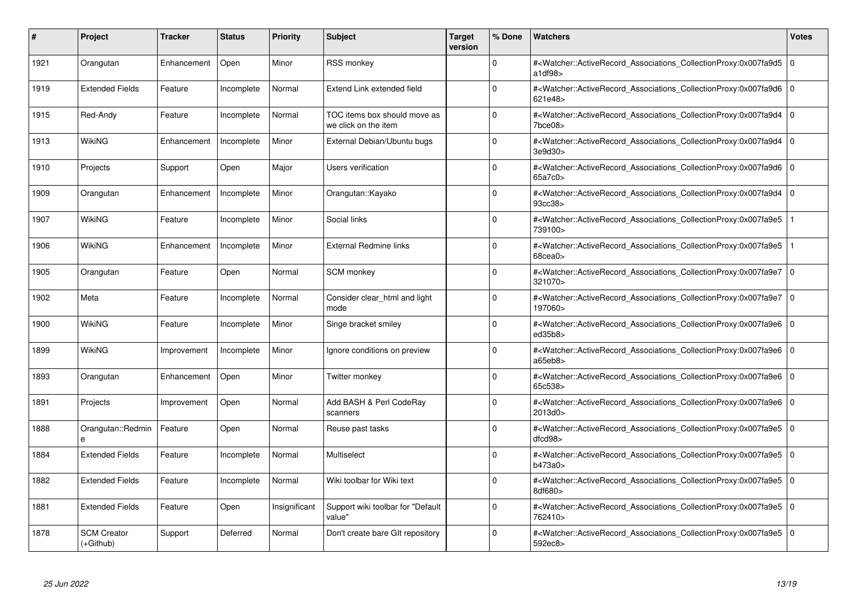| #    | Project                           | <b>Tracker</b> | <b>Status</b> | <b>Priority</b> | <b>Subject</b>                                       | <b>Target</b><br>version | % Done   | <b>Watchers</b>                                                                                                                                          | <b>Votes</b> |
|------|-----------------------------------|----------------|---------------|-----------------|------------------------------------------------------|--------------------------|----------|----------------------------------------------------------------------------------------------------------------------------------------------------------|--------------|
| 1921 | Orangutan                         | Enhancement    | Open          | Minor           | <b>RSS monkey</b>                                    |                          | $\Omega$ | # <watcher::activerecord associations="" collectionproxy:0x007fa9d5<br="">a1df98</watcher::activerecord>                                                 | $\mathbf 0$  |
| 1919 | <b>Extended Fields</b>            | Feature        | Incomplete    | Normal          | Extend Link extended field                           |                          | $\Omega$ | # <watcher::activerecord_associations_collectionproxy:0x007fa9d6 0<br=""  ="">621e48&gt;</watcher::activerecord_associations_collectionproxy:0x007fa9d6> |              |
| 1915 | Red-Andy                          | Feature        | Incomplete    | Normal          | TOC items box should move as<br>we click on the item |                          | $\Omega$ | # <watcher::activerecord associations="" collectionproxy:0x007fa9d4<br=""><math>7</math>bce<math>08</math></watcher::activerecord>                       | $\Omega$     |
| 1913 | WikiNG                            | Enhancement    | Incomplete    | Minor           | External Debian/Ubuntu bugs                          |                          | $\Omega$ | # <watcher::activerecord 0<br="" associations="" collectionproxy:0x007fa9d4=""  ="">3e9d30</watcher::activerecord>                                       |              |
| 1910 | Projects                          | Support        | Open          | Major           | Users verification                                   |                          | $\Omega$ | # <watcher::activerecord_associations_collectionproxy:0x007fa9d6  <br="">65a7c0&gt;</watcher::activerecord_associations_collectionproxy:0x007fa9d6>      | $\Omega$     |
| 1909 | Orangutan                         | Enhancement    | Incomplete    | Minor           | Orangutan::Kayako                                    |                          | $\Omega$ | # <watcher::activerecord associations="" collectionproxy:0x007fa9d4<br="">93cc38</watcher::activerecord>                                                 | $\Omega$     |
| 1907 | <b>WikiNG</b>                     | Feature        | Incomplete    | Minor           | Social links                                         |                          | $\Omega$ | # <watcher::activerecord_associations_collectionproxy:0x007fa9e5<br>739100&gt;</watcher::activerecord_associations_collectionproxy:0x007fa9e5<br>        |              |
| 1906 | WikiNG                            | Enhancement    | Incomplete    | Minor           | <b>External Redmine links</b>                        |                          | $\Omega$ | # <watcher::activerecord associations="" collectionproxy:0x007fa9e5<br=""><math>68</math>cea<math>0</math></watcher::activerecord>                       |              |
| 1905 | Orangutan                         | Feature        | Open          | Normal          | SCM monkey                                           |                          | $\Omega$ | # <watcher::activerecord_associations_collectionproxy:0x007fa9e7 0<br=""  ="">321070&gt;</watcher::activerecord_associations_collectionproxy:0x007fa9e7> |              |
| 1902 | Meta                              | Feature        | Incomplete    | Normal          | Consider clear html and light<br>mode                |                          | $\Omega$ | # <watcher::activerecord_associations_collectionproxy:0x007fa9e7 0<br=""  ="">197060&gt;</watcher::activerecord_associations_collectionproxy:0x007fa9e7> |              |
| 1900 | WikiNG                            | Feature        | Incomplete    | Minor           | Singe bracket smiley                                 |                          | $\Omega$ | # <watcher::activerecord 0<br="" associations="" collectionproxy:0x007fa9e6=""  ="">ed35b8</watcher::activerecord>                                       |              |
| 1899 | <b>WikiNG</b>                     | Improvement    | Incomplete    | Minor           | Ignore conditions on preview                         |                          | $\Omega$ | # <watcher::activerecord_associations_collectionproxy:0x007fa9e6 0<br=""  ="">a65eb8&gt;</watcher::activerecord_associations_collectionproxy:0x007fa9e6> |              |
| 1893 | Orangutan                         | Enhancement    | Open          | Minor           | Twitter monkey                                       |                          | $\Omega$ | # <watcher::activerecord 0<br="" associations="" collectionproxy:0x007fa9e6=""  ="">65c538&gt;</watcher::activerecord>                                   |              |
| 1891 | Projects                          | Improvement    | Open          | Normal          | Add BASH & Perl CodeRay<br>scanners                  |                          | $\Omega$ | # <watcher::activerecord_associations_collectionproxy:0x007fa9e6 0<br=""  ="">2013d0&gt;</watcher::activerecord_associations_collectionproxy:0x007fa9e6> |              |
| 1888 | Orangutan::Redmin                 | Feature        | Open          | Normal          | Reuse past tasks                                     |                          | $\Omega$ | # <watcher::activerecord_associations_collectionproxy:0x007fa9e5 0<br=""  ="">dfcd98</watcher::activerecord_associations_collectionproxy:0x007fa9e5>     |              |
| 1884 | <b>Extended Fields</b>            | Feature        | Incomplete    | Normal          | Multiselect                                          |                          | $\Omega$ | # <watcher::activerecord 0<br="" associations="" collectionproxy:0x007fa9e5=""  ="">b473a0&gt;</watcher::activerecord>                                   |              |
| 1882 | <b>Extended Fields</b>            | Feature        | Incomplete    | Normal          | Wiki toolbar for Wiki text                           |                          | $\Omega$ | # <watcher::activerecord 0<br="" associations="" collectionproxy:0x007fa9e5=""  ="">8df680&gt;</watcher::activerecord>                                   |              |
| 1881 | <b>Extended Fields</b>            | Feature        | Open          | Insignificant   | Support wiki toolbar for "Default<br>value"          |                          | $\Omega$ | # <watcher::activerecord 0<br="" associations="" collectionproxy:0x007fa9e5=""  ="">762410&gt;</watcher::activerecord>                                   |              |
| 1878 | <b>SCM Creator</b><br>$(+Github)$ | Support        | Deferred      | Normal          | Don't create bare GIt repository                     |                          | $\Omega$ | # <watcher::activerecord_associations_collectionproxy:0x007fa9e5 0<br=""  ="">592ec8&gt;</watcher::activerecord_associations_collectionproxy:0x007fa9e5> |              |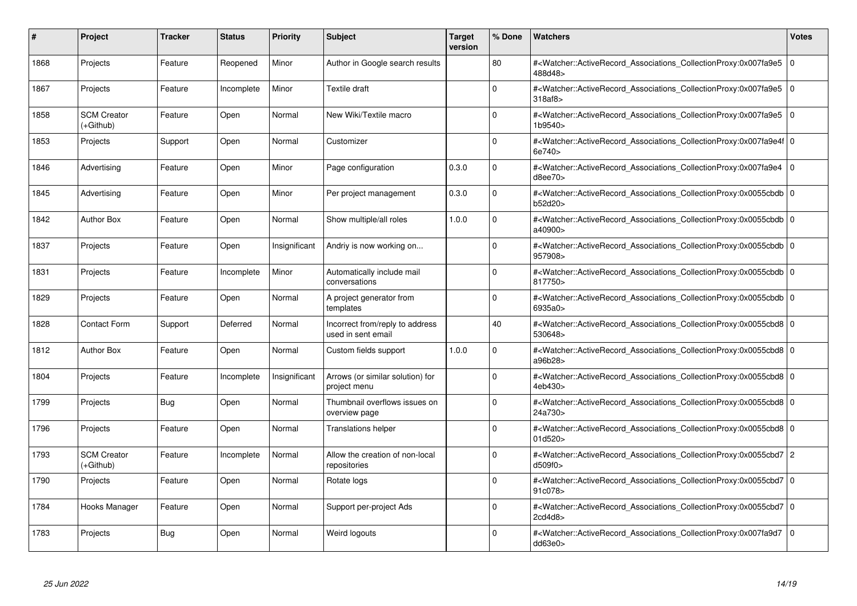| #    | <b>Project</b>                  | <b>Tracker</b> | <b>Status</b> | <b>Priority</b> | <b>Subject</b>                                        | <b>Target</b><br>version | % Done   | <b>Watchers</b>                                                                                                                                          | <b>Votes</b> |
|------|---------------------------------|----------------|---------------|-----------------|-------------------------------------------------------|--------------------------|----------|----------------------------------------------------------------------------------------------------------------------------------------------------------|--------------|
| 1868 | Projects                        | Feature        | Reopened      | Minor           | Author in Google search results                       |                          | 80       | # <watcher::activerecord associations="" collectionproxy:0x007fa9e5<br="">488d48&gt;</watcher::activerecord>                                             | $\mathbf 0$  |
| 1867 | Projects                        | Feature        | Incomplete    | Minor           | Textile draft                                         |                          | $\Omega$ | # <watcher::activerecord 0<br="" associations="" collectionproxy:0x007fa9e5=""  ="">318af8</watcher::activerecord>                                       |              |
| 1858 | <b>SCM Creator</b><br>(+Github) | Feature        | Open          | Normal          | New Wiki/Textile macro                                |                          | $\Omega$ | # <watcher::activerecord_associations_collectionproxy:0x007fa9e5<br>1b9540&gt;</watcher::activerecord_associations_collectionproxy:0x007fa9e5<br>        | $\Omega$     |
| 1853 | Projects                        | Support        | Open          | Normal          | Customizer                                            |                          | $\Omega$ | # <watcher::activerecord 0<br="" associations="" collectionproxy:0x007fa9e4f=""  ="">6e740&gt;</watcher::activerecord>                                   |              |
| 1846 | Advertising                     | Feature        | Open          | Minor           | Page configuration                                    | 0.3.0                    | $\Omega$ | # <watcher::activerecord_associations_collectionproxy:0x007fa9e4  <br="">d8ee70&gt;</watcher::activerecord_associations_collectionproxy:0x007fa9e4>      | $\mathbf 0$  |
| 1845 | Advertising                     | Feature        | Open          | Minor           | Per project management                                | 0.3.0                    | $\Omega$ | # <watcher::activerecord_associations_collectionproxy:0x0055cbdb 0<br=""  ="">b52d20&gt;</watcher::activerecord_associations_collectionproxy:0x0055cbdb> |              |
| 1842 | <b>Author Box</b>               | Feature        | Open          | Normal          | Show multiple/all roles                               | 1.0.0                    | $\Omega$ | # <watcher::activerecord 0<br="" associations="" collectionproxy:0x0055cbdb=""  ="">a40900&gt;</watcher::activerecord>                                   |              |
| 1837 | Projects                        | Feature        | Open          | Insignificant   | Andriy is now working on                              |                          | $\Omega$ | # <watcher::activerecord_associations_collectionproxy:0x0055cbdb 0<br=""  ="">957908&gt;</watcher::activerecord_associations_collectionproxy:0x0055cbdb> |              |
| 1831 | Projects                        | Feature        | Incomplete    | Minor           | Automatically include mail<br>conversations           |                          | $\Omega$ | # <watcher::activerecord 0<br="" associations="" collectionproxy:0x0055cbdb="">817750&gt;</watcher::activerecord>                                        |              |
| 1829 | Projects                        | Feature        | Open          | Normal          | A project generator from<br>templates                 |                          | $\Omega$ | # <watcher::activerecord 0<br="" associations="" collectionproxy:0x0055cbdb=""  ="">6935a0&gt;</watcher::activerecord>                                   |              |
| 1828 | <b>Contact Form</b>             | Support        | Deferred      | Normal          | Incorrect from/reply to address<br>used in sent email |                          | 40       | # <watcher::activerecord_associations_collectionproxy:0x0055cbd8 0<br=""  ="">530648&gt;</watcher::activerecord_associations_collectionproxy:0x0055cbd8> |              |
| 1812 | <b>Author Box</b>               | Feature        | Open          | Normal          | Custom fields support                                 | 1.0.0                    | $\Omega$ | # <watcher::activerecord 0<br="" associations="" collectionproxy:0x0055cbd8=""  ="">a96b28&gt;</watcher::activerecord>                                   |              |
| 1804 | Projects                        | Feature        | Incomplete    | Insignificant   | Arrows (or similar solution) for<br>project menu      |                          | $\Omega$ | # <watcher::activerecord 0<br="" associations="" collectionproxy:0x0055cbd8="">4eb430&gt;</watcher::activerecord>                                        |              |
| 1799 | Projects                        | <b>Bug</b>     | Open          | Normal          | Thumbnail overflows issues on<br>overview page        |                          | $\Omega$ | # <watcher::activerecord_associations_collectionproxy:0x0055cbd8 0<br=""  ="">24a730&gt;</watcher::activerecord_associations_collectionproxy:0x0055cbd8> |              |
| 1796 | Projects                        | Feature        | Open          | Normal          | <b>Translations helper</b>                            |                          | $\Omega$ | # <watcher::activerecord 0<br="" associations="" collectionproxy:0x0055cbd8="">01d520</watcher::activerecord>                                            |              |
| 1793 | <b>SCM Creator</b><br>(+Github) | Feature        | Incomplete    | Normal          | Allow the creation of non-local<br>repositories       |                          | $\Omega$ | # <watcher::activerecord_associations_collectionproxy:0x0055cbd7 2<br="">d509f0</watcher::activerecord_associations_collectionproxy:0x0055cbd7>          |              |
| 1790 | Projects                        | Feature        | Open          | Normal          | Rotate logs                                           |                          | $\Omega$ | # <watcher::activerecord_associations_collectionproxy:0x0055cbd7 0<br=""  ="">91c078&gt;</watcher::activerecord_associations_collectionproxy:0x0055cbd7> |              |
| 1784 | Hooks Manager                   | Feature        | Open          | Normal          | Support per-project Ads                               |                          | $\Omega$ | # <watcher::activerecord 0<br="" associations="" collectionproxy:0x0055cbd7=""  ="">2cd4d8&gt;</watcher::activerecord>                                   |              |
| 1783 | Projects                        | Bug            | Open          | Normal          | Weird logouts                                         |                          | $\Omega$ | # <watcher::activerecord_associations_collectionproxy:0x007fa9d7 0<br=""  ="">dd63e0</watcher::activerecord_associations_collectionproxy:0x007fa9d7>     |              |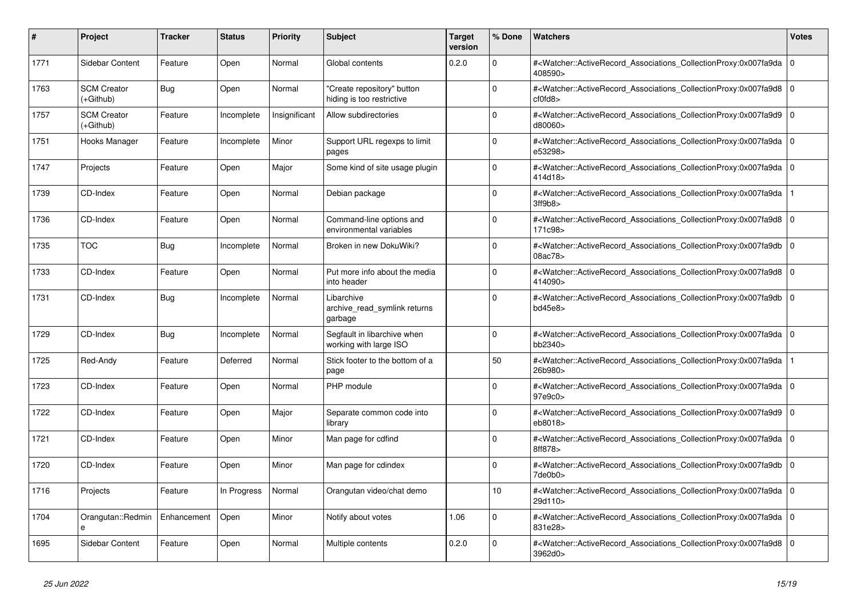| #    | <b>Project</b>                  | <b>Tracker</b> | <b>Status</b> | <b>Priority</b> | <b>Subject</b>                                          | <b>Target</b><br>version | % Done          | <b>Watchers</b>                                                                                                                                          | <b>Votes</b> |
|------|---------------------------------|----------------|---------------|-----------------|---------------------------------------------------------|--------------------------|-----------------|----------------------------------------------------------------------------------------------------------------------------------------------------------|--------------|
| 1771 | Sidebar Content                 | Feature        | Open          | Normal          | Global contents                                         | 0.2.0                    | $\Omega$        | # <watcher::activerecord_associations_collectionproxy:0x007fa9da 0<br=""  ="">408590&gt;</watcher::activerecord_associations_collectionproxy:0x007fa9da> |              |
| 1763 | <b>SCM Creator</b><br>(+Github) | Bug            | Open          | Normal          | 'Create repository" button<br>hiding is too restrictive |                          | $\Omega$        | # <watcher::activerecord associations="" collectionproxy:0x007fa9d8<br="">cf0fd8</watcher::activerecord>                                                 | $\Omega$     |
| 1757 | <b>SCM Creator</b><br>(+Github) | Feature        | Incomplete    | Insignificant   | Allow subdirectories                                    |                          | $\Omega$        | # <watcher::activerecord_associations_collectionproxy:0x007fa9d9 0<br=""  ="">d80060&gt;</watcher::activerecord_associations_collectionproxy:0x007fa9d9> |              |
| 1751 | Hooks Manager                   | Feature        | Incomplete    | Minor           | Support URL regexps to limit<br>pages                   |                          | $\Omega$        | # <watcher::activerecord_associations_collectionproxy:0x007fa9da  <br="">e53298&gt;</watcher::activerecord_associations_collectionproxy:0x007fa9da>      | $\Omega$     |
| 1747 | Projects                        | Feature        | Open          | Major           | Some kind of site usage plugin                          |                          | $\Omega$        | # <watcher::activerecord 0<br="" associations="" collectionproxy:0x007fa9da=""  ="">414d18&gt;</watcher::activerecord>                                   |              |
| 1739 | CD-Index                        | Feature        | Open          | Normal          | Debian package                                          |                          | $\Omega$        | # <watcher::activerecord_associations_collectionproxy:0x007fa9da<br>3ff9b8</watcher::activerecord_associations_collectionproxy:0x007fa9da<br>            |              |
| 1736 | CD-Index                        | Feature        | Open          | Normal          | Command-line options and<br>environmental variables     |                          | $\Omega$        | # <watcher::activerecord_associations_collectionproxy:0x007fa9d8  <br="">171c98&gt;</watcher::activerecord_associations_collectionproxy:0x007fa9d8>      | $\Omega$     |
| 1735 | <b>TOC</b>                      | Bug            | Incomplete    | Normal          | Broken in new DokuWiki?                                 |                          | $\Omega$        | # <watcher::activerecord associations="" collectionproxy:0x007fa9db<br="">08ac78&gt;</watcher::activerecord>                                             | $\Omega$     |
| 1733 | CD-Index                        | Feature        | Open          | Normal          | Put more info about the media<br>into header            |                          | $\Omega$        | # <watcher::activerecord 0<br="" associations="" collectionproxy:0x007fa9d8=""  ="">414090&gt;</watcher::activerecord>                                   |              |
| 1731 | CD-Index                        | <b>Bug</b>     | Incomplete    | Normal          | Libarchive<br>archive_read_symlink returns<br>garbage   |                          | $\Omega$        | # <watcher::activerecord_associations_collectionproxy:0x007fa9db  <br="">bd45e8&gt;</watcher::activerecord_associations_collectionproxy:0x007fa9db>      | $\mathbf 0$  |
| 1729 | CD-Index                        | Bug            | Incomplete    | Normal          | Segfault in libarchive when<br>working with large ISO   |                          | $\Omega$        | # <watcher::activerecord_associations_collectionproxy:0x007fa9da 0<br=""  ="">bb2340&gt;</watcher::activerecord_associations_collectionproxy:0x007fa9da> |              |
| 1725 | Red-Andy                        | Feature        | Deferred      | Normal          | Stick footer to the bottom of a<br>page                 |                          | 50              | # <watcher::activerecord associations="" collectionproxy:0x007fa9da<br="">26b980&gt;</watcher::activerecord>                                             |              |
| 1723 | CD-Index                        | Feature        | Open          | Normal          | PHP module                                              |                          | $\Omega$        | # <watcher::activerecord 0<br="" associations="" collectionproxy:0x007fa9da=""  ="">97e9c0&gt;</watcher::activerecord>                                   |              |
| 1722 | CD-Index                        | Feature        | Open          | Major           | Separate common code into<br>library                    |                          | $\Omega$        | # <watcher::activerecord_associations_collectionproxy:0x007fa9d9  <br="">eb8018&gt;</watcher::activerecord_associations_collectionproxy:0x007fa9d9>      | $\Omega$     |
| 1721 | CD-Index                        | Feature        | Open          | Minor           | Man page for cdfind                                     |                          | $\Omega$        | # <watcher::activerecord 0<br="" associations="" collectionproxy:0x007fa9da=""  ="">8ff878&gt;</watcher::activerecord>                                   |              |
| 1720 | CD-Index                        | Feature        | Open          | Minor           | Man page for cdindex                                    |                          | $\Omega$        | # <watcher::activerecord associations="" collectionproxy:0x007fa9db<br="">7de0b0&gt;</watcher::activerecord>                                             | $\mathbf 0$  |
| 1716 | Projects                        | Feature        | In Progress   | Normal          | Orangutan video/chat demo                               |                          | 10 <sup>1</sup> | # <watcher::activerecord_associations_collectionproxy:0x007fa9da 0<br=""  ="">29d110&gt;</watcher::activerecord_associations_collectionproxy:0x007fa9da> |              |
| 1704 | Orangutan::Redmin<br>e          | Enhancement    | Open          | Minor           | Notify about votes                                      | 1.06                     | $\Omega$        | # <watcher::activerecord_associations_collectionproxy:0x007fa9da 0<br=""  ="">831e28&gt;</watcher::activerecord_associations_collectionproxy:0x007fa9da> |              |
| 1695 | Sidebar Content                 | Feature        | Open          | Normal          | Multiple contents                                       | 0.2.0                    | $\Omega$        | # <watcher::activerecord 0<br="" associations="" collectionproxy:0x007fa9d8=""  ="">3962d0&gt;</watcher::activerecord>                                   |              |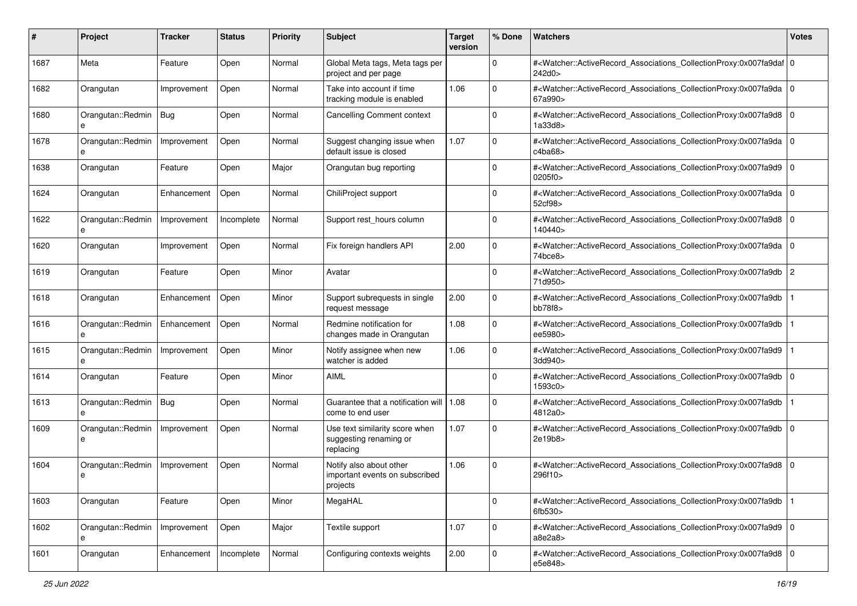| #    | Project                | <b>Tracker</b> | <b>Status</b> | <b>Priority</b> | <b>Subject</b>                                                        | <b>Target</b><br>version | % Done      | Watchers                                                                                                                                                  | <b>Votes</b> |
|------|------------------------|----------------|---------------|-----------------|-----------------------------------------------------------------------|--------------------------|-------------|-----------------------------------------------------------------------------------------------------------------------------------------------------------|--------------|
| 1687 | Meta                   | Feature        | Open          | Normal          | Global Meta tags, Meta tags per<br>project and per page               |                          | $\mathbf 0$ | # <watcher::activerecord_associations_collectionproxy:0x007fa9daf 0<br=""  ="">242d0&gt;</watcher::activerecord_associations_collectionproxy:0x007fa9daf> |              |
| 1682 | Orangutan              | Improvement    | Open          | Normal          | Take into account if time<br>tracking module is enabled               | 1.06                     | $\Omega$    | # <watcher::activerecord_associations_collectionproxy:0x007fa9da 0<br="">67a990&gt;</watcher::activerecord_associations_collectionproxy:0x007fa9da>       |              |
| 1680 | Orangutan::Redmin<br>e | Bug            | Open          | Normal          | <b>Cancelling Comment context</b>                                     |                          | 0           | # <watcher::activerecord_associations_collectionproxy:0x007fa9d8 0<br=""  ="">1a33d8&gt;</watcher::activerecord_associations_collectionproxy:0x007fa9d8>  |              |
| 1678 | Orangutan::Redmin<br>е | Improvement    | Open          | Normal          | Suggest changing issue when<br>default issue is closed                | 1.07                     | 0           | # <watcher::activerecord_associations_collectionproxy:0x007fa9da<br>c4ba68</watcher::activerecord_associations_collectionproxy:0x007fa9da<br>             | l O          |
| 1638 | Orangutan              | Feature        | Open          | Major           | Orangutan bug reporting                                               |                          | $\Omega$    | # <watcher::activerecord_associations_collectionproxy:0x007fa9d9 0<br=""  ="">0205f0&gt;</watcher::activerecord_associations_collectionproxy:0x007fa9d9>  |              |
| 1624 | Orangutan              | Enhancement    | Open          | Normal          | ChiliProject support                                                  |                          | $\Omega$    | # <watcher::activerecord_associations_collectionproxy:0x007fa9da 0<br="">52cf98&gt;</watcher::activerecord_associations_collectionproxy:0x007fa9da>       |              |
| 1622 | Orangutan::Redmin      | Improvement    | Incomplete    | Normal          | Support rest_hours column                                             |                          | $\Omega$    | # <watcher::activerecord_associations_collectionproxy:0x007fa9d8<br>140440&gt;</watcher::activerecord_associations_collectionproxy:0x007fa9d8<br>         | l O          |
| 1620 | Orangutan              | Improvement    | Open          | Normal          | Fix foreign handlers API                                              | 2.00                     | $\mathbf 0$ | # <watcher::activerecord_associations_collectionproxy:0x007fa9da 0<br=""  ="">74bce8&gt;</watcher::activerecord_associations_collectionproxy:0x007fa9da>  |              |
| 1619 | Orangutan              | Feature        | Open          | Minor           | Avatar                                                                |                          | $\Omega$    | # <watcher::activerecord_associations_collectionproxy:0x007fa9db<br>71d950&gt;</watcher::activerecord_associations_collectionproxy:0x007fa9db<br>         | 2            |
| 1618 | Orangutan              | Enhancement    | Open          | Minor           | Support subrequests in single<br>request message                      | 2.00                     | 0           | # <watcher::activerecord_associations_collectionproxy:0x007fa9db<br>bb78f8&gt;</watcher::activerecord_associations_collectionproxy:0x007fa9db<br>         |              |
| 1616 | Orangutan::Redmin<br>e | Enhancement    | Open          | Normal          | Redmine notification for<br>changes made in Orangutan                 | 1.08                     | $\mathbf 0$ | # <watcher::activerecord_associations_collectionproxy:0x007fa9db<br>ee5980&gt;</watcher::activerecord_associations_collectionproxy:0x007fa9db<br>         |              |
| 1615 | Orangutan::Redmin<br>e | Improvement    | Open          | Minor           | Notify assignee when new<br>watcher is added                          | 1.06                     | $\Omega$    | # <watcher::activerecord_associations_collectionproxy:0x007fa9d9<br>3dd940&gt;</watcher::activerecord_associations_collectionproxy:0x007fa9d9<br>         |              |
| 1614 | Orangutan              | Feature        | Open          | Minor           | <b>AIML</b>                                                           |                          | $\Omega$    | # <watcher::activerecord_associations_collectionproxy:0x007fa9db<br>1593c0&gt;</watcher::activerecord_associations_collectionproxy:0x007fa9db<br>         | l 0          |
| 1613 | Orangutan::Redmin      | Bug            | Open          | Normal          | Guarantee that a notification will<br>come to end user                | 1.08                     | $\Omega$    | # <watcher::activerecord_associations_collectionproxy:0x007fa9db<br>4812a0&gt;</watcher::activerecord_associations_collectionproxy:0x007fa9db<br>         |              |
| 1609 | Orangutan::Redmin<br>e | Improvement    | Open          | Normal          | Use text similarity score when<br>suggesting renaming or<br>replacing | 1.07                     | $\mathbf 0$ | # <watcher::activerecord_associations_collectionproxy:0x007fa9db<br>2e19b8&gt;</watcher::activerecord_associations_collectionproxy:0x007fa9db<br>         | l 0          |
| 1604 | Orangutan::Redmin<br>e | Improvement    | Open          | Normal          | Notify also about other<br>important events on subscribed<br>projects | 1.06                     | $\Omega$    | # <watcher::activerecord_associations_collectionproxy:0x007fa9d8<br>296f10&gt;</watcher::activerecord_associations_collectionproxy:0x007fa9d8<br>         | l 0          |
| 1603 | Orangutan              | Feature        | Open          | Minor           | MegaHAL                                                               |                          | $\mathbf 0$ | # <watcher::activerecord associations="" collectionproxy:0x007fa9db<br="">6fb530&gt;</watcher::activerecord>                                              |              |
| 1602 | Orangutan::Redmin<br>e | Improvement    | Open          | Major           | Textile support                                                       | 1.07                     | $\mathbf 0$ | # <watcher::activerecord_associations_collectionproxy:0x007fa9d9 0<br="">a8e2a8</watcher::activerecord_associations_collectionproxy:0x007fa9d9>           |              |
| 1601 | Orangutan              | Enhancement    | Incomplete    | Normal          | Configuring contexts weights                                          | 2.00                     | $\mathbf 0$ | # <watcher::activerecord_associations_collectionproxy:0x007fa9d8 0<br="">e5e848&gt;</watcher::activerecord_associations_collectionproxy:0x007fa9d8>       |              |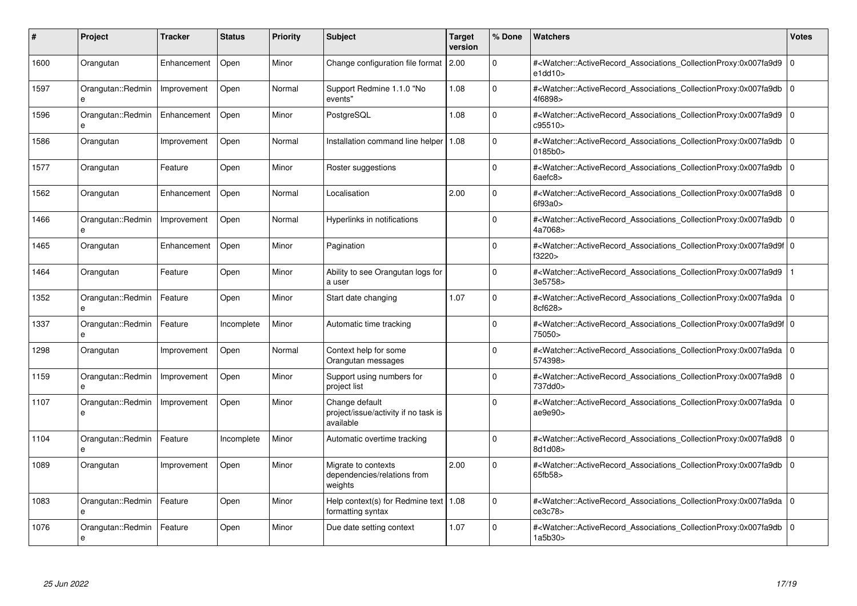| #    | Project                           | <b>Tracker</b> | <b>Status</b> | <b>Priority</b> | <b>Subject</b>                                                      | <b>Target</b><br>version | % Done      | <b>Watchers</b>                                                                                                                                          | <b>Votes</b>   |
|------|-----------------------------------|----------------|---------------|-----------------|---------------------------------------------------------------------|--------------------------|-------------|----------------------------------------------------------------------------------------------------------------------------------------------------------|----------------|
| 1600 | Orangutan                         | Enhancement    | Open          | Minor           | Change configuration file format 2.00                               |                          | $\Omega$    | # <watcher::activerecord_associations_collectionproxy:0x007fa9d9<br>e1dd10</watcher::activerecord_associations_collectionproxy:0x007fa9d9<br>            | $\mathbf 0$    |
| 1597 | Orangutan::Redmin<br>e            | Improvement    | Open          | Normal          | Support Redmine 1.1.0 "No<br>events"                                | 1.08                     | $\Omega$    | # <watcher::activerecord 0<br="" associations="" collectionproxy:0x007fa9db=""  ="">4f6898&gt;</watcher::activerecord>                                   |                |
| 1596 | Orangutan::Redmin<br>e            | Enhancement    | Open          | Minor           | PostgreSQL                                                          | 1.08                     | $\mathbf 0$ | # <watcher::activerecord associations="" collectionproxy:0x007fa9d9<br="">c95510&gt;</watcher::activerecord>                                             | $\overline{0}$ |
| 1586 | Orangutan                         | Improvement    | Open          | Normal          | Installation command line helper                                    | 1.08                     | $\Omega$    | # <watcher::activerecord_associations_collectionproxy:0x007fa9db 0<br="">0185b0&gt;</watcher::activerecord_associations_collectionproxy:0x007fa9db>      |                |
| 1577 | Orangutan                         | Feature        | Open          | Minor           | Roster suggestions                                                  |                          | $\Omega$    | # <watcher::activerecord_associations_collectionproxy:0x007fa9db 0<br="">6aefc8</watcher::activerecord_associations_collectionproxy:0x007fa9db>          |                |
| 1562 | Orangutan                         | Enhancement    | Open          | Normal          | Localisation                                                        | 2.00                     | $\Omega$    | # <watcher::activerecord 0<br="" associations="" collectionproxy:0x007fa9d8=""  ="">6f93a0&gt;</watcher::activerecord>                                   |                |
| 1466 | Orangutan::Redmin<br>e            | Improvement    | Open          | Normal          | Hyperlinks in notifications                                         |                          | $\mathbf 0$ | # <watcher::activerecord_associations_collectionproxy:0x007fa9db 0<br="">4a7068&gt;</watcher::activerecord_associations_collectionproxy:0x007fa9db>      |                |
| 1465 | Orangutan                         | Enhancement    | Open          | Minor           | Pagination                                                          |                          | $\Omega$    | # <watcher::activerecord_associations_collectionproxy:0x007fa9d9f 0<br="">f3220&gt;</watcher::activerecord_associations_collectionproxy:0x007fa9d9f>     |                |
| 1464 | Orangutan                         | Feature        | Open          | Minor           | Ability to see Orangutan logs for<br>a user                         |                          | $\Omega$    | # <watcher::activerecord_associations_collectionproxy:0x007fa9d9<br>3e5758&gt;</watcher::activerecord_associations_collectionproxy:0x007fa9d9<br>        |                |
| 1352 | Orangutan::Redmin<br>e            | Feature        | Open          | Minor           | Start date changing                                                 | 1.07                     | $\Omega$    | # <watcher::activerecord 0<br="" associations="" collectionproxy:0x007fa9da=""  ="">8cf628&gt;</watcher::activerecord>                                   |                |
| 1337 | Orangutan::Redmin<br>e            | Feature        | Incomplete    | Minor           | Automatic time tracking                                             |                          | $\Omega$    | # <watcher::activerecord 0<br="" associations="" collectionproxy:0x007fa9d9f=""  ="">75050&gt;</watcher::activerecord>                                   |                |
| 1298 | Orangutan                         | Improvement    | Open          | Normal          | Context help for some<br>Orangutan messages                         |                          | $\Omega$    | # <watcher::activerecord_associations_collectionproxy:0x007fa9da<br>574398&gt;</watcher::activerecord_associations_collectionproxy:0x007fa9da<br>        | 10             |
| 1159 | Orangutan::Redmin<br>$\mathbf{a}$ | Improvement    | Open          | Minor           | Support using numbers for<br>project list                           |                          | $\Omega$    | # <watcher::activerecord_associations_collectionproxy:0x007fa9d8 0<br=""  ="">737dd0&gt;</watcher::activerecord_associations_collectionproxy:0x007fa9d8> |                |
| 1107 | Orangutan::Redmin<br>e            | Improvement    | Open          | Minor           | Change default<br>project/issue/activity if no task is<br>available |                          | $\Omega$    | # <watcher::activerecord 0<br="" associations="" collectionproxy:0x007fa9da=""  ="">ae9e90&gt;</watcher::activerecord>                                   |                |
| 1104 | Orangutan::Redmin                 | Feature        | Incomplete    | Minor           | Automatic overtime tracking                                         |                          | $\Omega$    | # <watcher::activerecord_associations_collectionproxy:0x007fa9d8 0<br="">8d1d08&gt;</watcher::activerecord_associations_collectionproxy:0x007fa9d8>      |                |
| 1089 | Orangutan                         | Improvement    | Open          | Minor           | Migrate to contexts<br>dependencies/relations from<br>weights       | 2.00                     | $\Omega$    | # <watcher::activerecord_associations_collectionproxy:0x007fa9db<br>65fb58&gt;</watcher::activerecord_associations_collectionproxy:0x007fa9db<br>        | $\Omega$       |
| 1083 | Orangutan::Redmin<br>e            | Feature        | Open          | Minor           | Help context(s) for Redmine text   1.08<br>formatting syntax        |                          | $\Omega$    | # <watcher::activerecord 0<br="" associations="" collectionproxy:0x007fa9da=""  ="">ce3c78&gt;</watcher::activerecord>                                   |                |
| 1076 | Orangutan::Redmin<br>e            | Feature        | Open          | Minor           | Due date setting context                                            | 1.07                     | $\Omega$    | # <watcher::activerecord associations="" collectionproxy:0x007fa9db<br="">1a5b30&gt;</watcher::activerecord>                                             | 0              |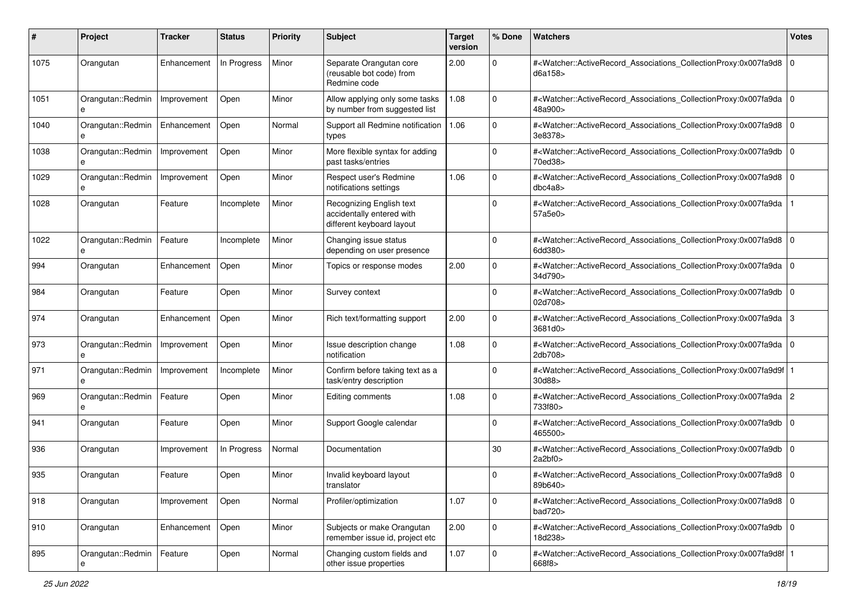| #    | Project                | <b>Tracker</b> | <b>Status</b> | <b>Priority</b> | <b>Subject</b>                                                                     | <b>Target</b><br>version | % Done       | Watchers                                                                                                                                                  | <b>Votes</b> |
|------|------------------------|----------------|---------------|-----------------|------------------------------------------------------------------------------------|--------------------------|--------------|-----------------------------------------------------------------------------------------------------------------------------------------------------------|--------------|
| 1075 | Orangutan              | Enhancement    | In Progress   | Minor           | Separate Orangutan core<br>(reusable bot code) from<br>Redmine code                | 2.00                     | 0            | # <watcher::activerecord_associations_collectionproxy:0x007fa9d8 0<br=""  ="">d6a158</watcher::activerecord_associations_collectionproxy:0x007fa9d8>      |              |
| 1051 | Orangutan::Redmin<br>e | Improvement    | Open          | Minor           | Allow applying only some tasks<br>by number from suggested list                    | 1.08                     | $\mathbf 0$  | # <watcher::activerecord_associations_collectionproxy:0x007fa9da 0<br=""  ="">48a900&gt;</watcher::activerecord_associations_collectionproxy:0x007fa9da>  |              |
| 1040 | Orangutan::Redmin<br>e | Enhancement    | Open          | Normal          | Support all Redmine notification<br>types                                          | 1.06                     | $\Omega$     | # <watcher::activerecord_associations_collectionproxy:0x007fa9d8 0<br=""  ="">3e8378&gt;</watcher::activerecord_associations_collectionproxy:0x007fa9d8>  |              |
| 1038 | Orangutan::Redmin<br>e | Improvement    | Open          | Minor           | More flexible syntax for adding<br>past tasks/entries                              |                          | $\Omega$     | # <watcher::activerecord_associations_collectionproxy:0x007fa9db 0<br="">70ed38&gt;</watcher::activerecord_associations_collectionproxy:0x007fa9db>       |              |
| 1029 | Orangutan::Redmin<br>e | Improvement    | Open          | Minor           | Respect user's Redmine<br>notifications settings                                   | 1.06                     | 0            | # <watcher::activerecord_associations_collectionproxy:0x007fa9d8 0<br=""  ="">dbc4a8&gt;</watcher::activerecord_associations_collectionproxy:0x007fa9d8>  |              |
| 1028 | Orangutan              | Feature        | Incomplete    | Minor           | Recognizing English text<br>accidentally entered with<br>different keyboard layout |                          | $\Omega$     | # <watcher::activerecord_associations_collectionproxy:0x007fa9da<br>57a5e0&gt;</watcher::activerecord_associations_collectionproxy:0x007fa9da<br>         |              |
| 1022 | Orangutan::Redmin<br>e | Feature        | Incomplete    | Minor           | Changing issue status<br>depending on user presence                                |                          | $\Omega$     | # <watcher::activerecord_associations_collectionproxy:0x007fa9d8 0<br=""  ="">6dd380&gt;</watcher::activerecord_associations_collectionproxy:0x007fa9d8>  |              |
| 994  | Orangutan              | Enhancement    | Open          | Minor           | Topics or response modes                                                           | 2.00                     | 0            | # <watcher::activerecord_associations_collectionproxy:0x007fa9da 0<br="">34d790&gt;</watcher::activerecord_associations_collectionproxy:0x007fa9da>       |              |
| 984  | Orangutan              | Feature        | Open          | Minor           | Survey context                                                                     |                          | $\Omega$     | # <watcher::activerecord_associations_collectionproxy:0x007fa9db 0<br="">02d708&gt;</watcher::activerecord_associations_collectionproxy:0x007fa9db>       |              |
| 974  | Orangutan              | Enhancement    | Open          | Minor           | Rich text/formatting support                                                       | 2.00                     | $\mathbf 0$  | # <watcher::activerecord_associations_collectionproxy:0x007fa9da 3<br="">3681d0&gt;</watcher::activerecord_associations_collectionproxy:0x007fa9da>       |              |
| 973  | Orangutan::Redmin<br>e | Improvement    | Open          | Minor           | Issue description change<br>notification                                           | 1.08                     | $\Omega$     | # <watcher::activerecord_associations_collectionproxy:0x007fa9da 0<br=""  ="">2db708&gt;</watcher::activerecord_associations_collectionproxy:0x007fa9da>  |              |
| 971  | Orangutan::Redmin<br>e | Improvement    | Incomplete    | Minor           | Confirm before taking text as a<br>task/entry description                          |                          | $\Omega$     | # <watcher::activerecord_associations_collectionproxy:0x007fa9d9f 1<br=""  ="">30d88&gt;</watcher::activerecord_associations_collectionproxy:0x007fa9d9f> |              |
| 969  | Orangutan::Redmin<br>e | Feature        | Open          | Minor           | Editing comments                                                                   | 1.08                     | 0            | # <watcher::activerecord_associations_collectionproxy:0x007fa9da 2<br="">733f80&gt;</watcher::activerecord_associations_collectionproxy:0x007fa9da>       |              |
| 941  | Orangutan              | Feature        | Open          | Minor           | Support Google calendar                                                            |                          | 0            | # <watcher::activerecord_associations_collectionproxy:0x007fa9db 0<br="">465500&gt;</watcher::activerecord_associations_collectionproxy:0x007fa9db>       |              |
| 936  | Orangutan              | Improvement    | In Progress   | Normal          | Documentation                                                                      |                          | 30           | # <watcher::activerecord_associations_collectionproxy:0x007fa9db 0<br=""  ="">2a2bf0</watcher::activerecord_associations_collectionproxy:0x007fa9db>      |              |
| 935  | Orangutan              | Feature        | Open          | Minor           | Invalid keyboard layout<br>translator                                              |                          | 0            | # <watcher::activerecord_associations_collectionproxy:0x007fa9d8 0<br=""  ="">89b640&gt;</watcher::activerecord_associations_collectionproxy:0x007fa9d8>  |              |
| 918  | Orangutan              | Improvement    | Open          | Normal          | Profiler/optimization                                                              | 1.07                     | $\mathbf 0$  | # <watcher::activerecord_associations_collectionproxy:0x007fa9d8 0<br=""  ="">bad720&gt;</watcher::activerecord_associations_collectionproxy:0x007fa9d8>  |              |
| 910  | Orangutan              | Enhancement    | Open          | Minor           | Subjects or make Orangutan<br>remember issue id, project etc                       | 2.00                     | $\mathbf{0}$ | # <watcher::activerecord_associations_collectionproxy:0x007fa9db 0<br="">18d238&gt;</watcher::activerecord_associations_collectionproxy:0x007fa9db>       |              |
| 895  | Orangutan::Redmin      | Feature        | Open          | Normal          | Changing custom fields and<br>other issue properties                               | 1.07                     | $\mathbf 0$  | # <watcher::activerecord_associations_collectionproxy:0x007fa9d8f 1<br=""  ="">668f8&gt;</watcher::activerecord_associations_collectionproxy:0x007fa9d8f> |              |